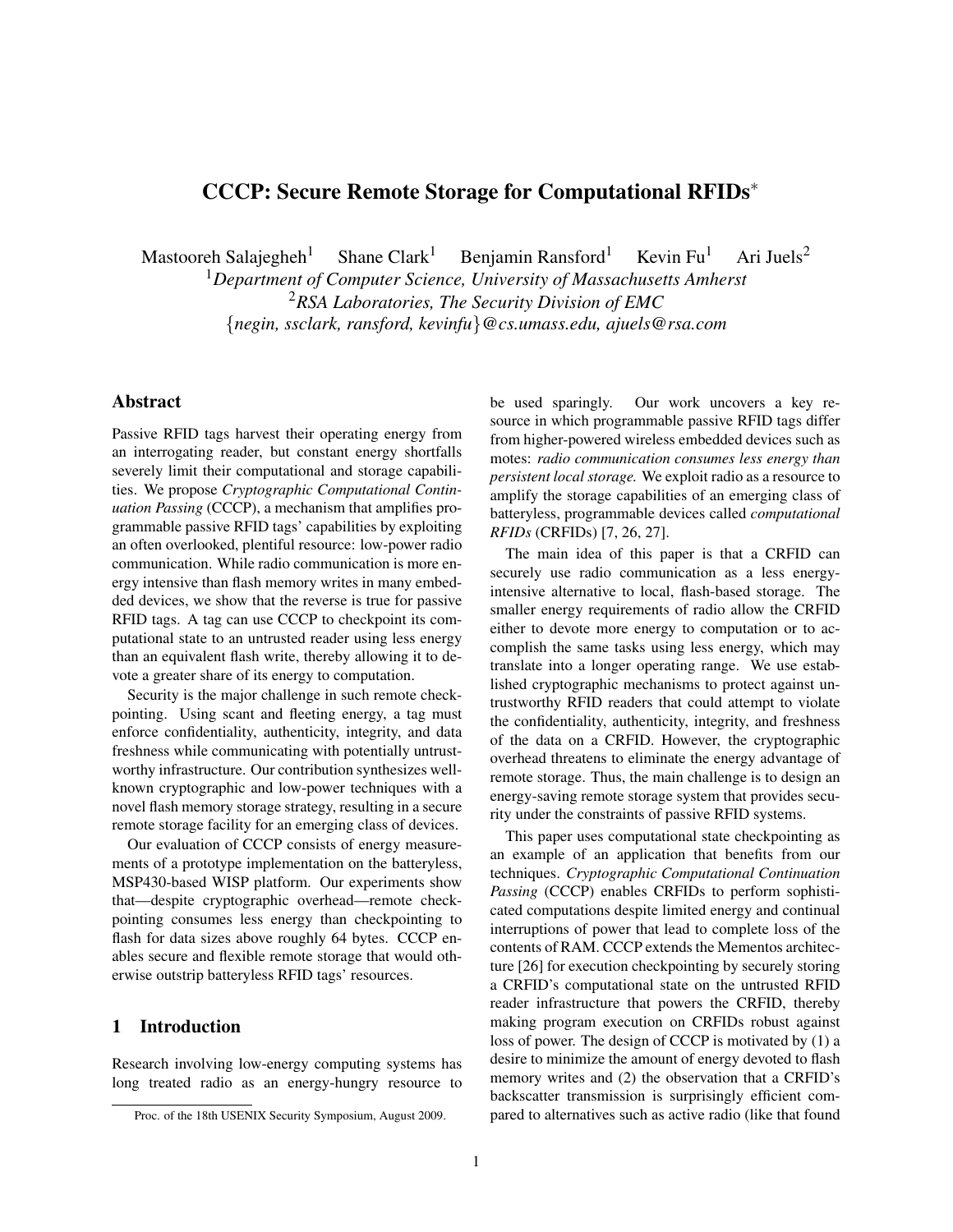# CCCP: Secure Remote Storage for Computational RFIDs<sup>∗</sup>

Mastooreh Salajegheh<sup>1</sup> Shane Clark<sup>1</sup> Benjamin Ransford<sup>1</sup> Kevin Fu<sup>1</sup> Ari Juels<sup>2</sup>

<sup>1</sup>*Department of Computer Science, University of Massachusetts Amherst* <sup>2</sup>*RSA Laboratories, The Security Division of EMC* {*negin, ssclark, ransford, kevinfu*}*@cs.umass.edu, ajuels@rsa.com*

## Abstract

Passive RFID tags harvest their operating energy from an interrogating reader, but constant energy shortfalls severely limit their computational and storage capabilities. We propose *Cryptographic Computational Continuation Passing* (CCCP), a mechanism that amplifies programmable passive RFID tags' capabilities by exploiting an often overlooked, plentiful resource: low-power radio communication. While radio communication is more energy intensive than flash memory writes in many embedded devices, we show that the reverse is true for passive RFID tags. A tag can use CCCP to checkpoint its computational state to an untrusted reader using less energy than an equivalent flash write, thereby allowing it to devote a greater share of its energy to computation.

Security is the major challenge in such remote checkpointing. Using scant and fleeting energy, a tag must enforce confidentiality, authenticity, integrity, and data freshness while communicating with potentially untrustworthy infrastructure. Our contribution synthesizes wellknown cryptographic and low-power techniques with a novel flash memory storage strategy, resulting in a secure remote storage facility for an emerging class of devices.

Our evaluation of CCCP consists of energy measurements of a prototype implementation on the batteryless, MSP430-based WISP platform. Our experiments show that—despite cryptographic overhead—remote checkpointing consumes less energy than checkpointing to flash for data sizes above roughly 64 bytes. CCCP enables secure and flexible remote storage that would otherwise outstrip batteryless RFID tags' resources.

## 1 Introduction

Research involving low-energy computing systems has long treated radio as an energy-hungry resource to be used sparingly. Our work uncovers a key resource in which programmable passive RFID tags differ from higher-powered wireless embedded devices such as motes: *radio communication consumes less energy than persistent local storage.* We exploit radio as a resource to amplify the storage capabilities of an emerging class of batteryless, programmable devices called *computational RFIDs* (CRFIDs) [7, 26, 27].

The main idea of this paper is that a CRFID can securely use radio communication as a less energyintensive alternative to local, flash-based storage. The smaller energy requirements of radio allow the CRFID either to devote more energy to computation or to accomplish the same tasks using less energy, which may translate into a longer operating range. We use established cryptographic mechanisms to protect against untrustworthy RFID readers that could attempt to violate the confidentiality, authenticity, integrity, and freshness of the data on a CRFID. However, the cryptographic overhead threatens to eliminate the energy advantage of remote storage. Thus, the main challenge is to design an energy-saving remote storage system that provides security under the constraints of passive RFID systems.

This paper uses computational state checkpointing as an example of an application that benefits from our techniques. *Cryptographic Computational Continuation Passing* (CCCP) enables CRFIDs to perform sophisticated computations despite limited energy and continual interruptions of power that lead to complete loss of the contents of RAM. CCCP extends the Mementos architecture [26] for execution checkpointing by securely storing a CRFID's computational state on the untrusted RFID reader infrastructure that powers the CRFID, thereby making program execution on CRFIDs robust against loss of power. The design of CCCP is motivated by (1) a desire to minimize the amount of energy devoted to flash memory writes and (2) the observation that a CRFID's backscatter transmission is surprisingly efficient compared to alternatives such as active radio (like that found

Proc. of the 18th USENIX Security Symposium, August 2009.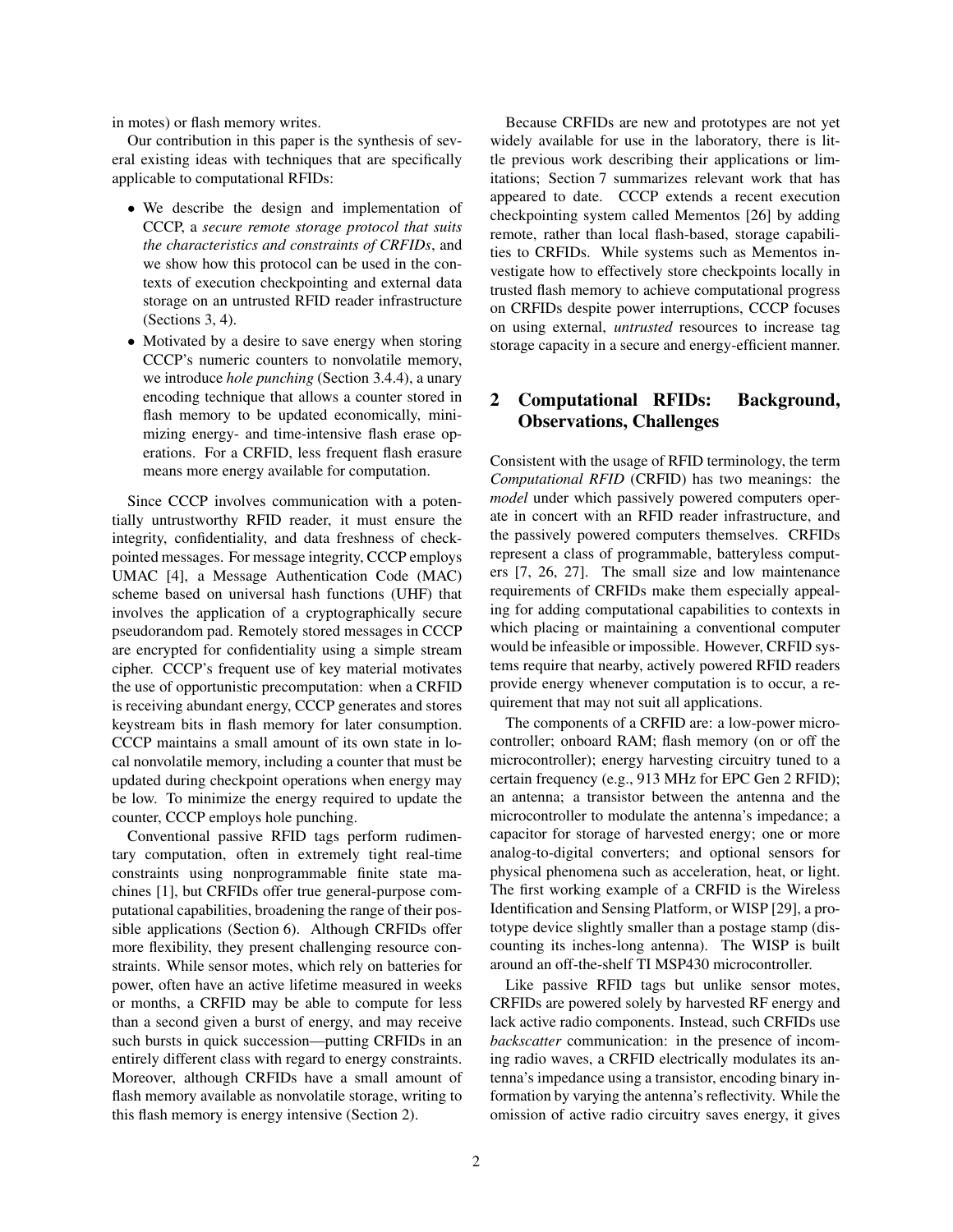in motes) or flash memory writes.

Our contribution in this paper is the synthesis of several existing ideas with techniques that are specifically applicable to computational RFIDs:

- We describe the design and implementation of CCCP, a *secure remote storage protocol that suits the characteristics and constraints of CRFIDs*, and we show how this protocol can be used in the contexts of execution checkpointing and external data storage on an untrusted RFID reader infrastructure (Sections 3, 4).
- Motivated by a desire to save energy when storing CCCP's numeric counters to nonvolatile memory, we introduce *hole punching* (Section 3.4.4), a unary encoding technique that allows a counter stored in flash memory to be updated economically, minimizing energy- and time-intensive flash erase operations. For a CRFID, less frequent flash erasure means more energy available for computation.

Since CCCP involves communication with a potentially untrustworthy RFID reader, it must ensure the integrity, confidentiality, and data freshness of checkpointed messages. For message integrity, CCCP employs UMAC [4], a Message Authentication Code (MAC) scheme based on universal hash functions (UHF) that involves the application of a cryptographically secure pseudorandom pad. Remotely stored messages in CCCP are encrypted for confidentiality using a simple stream cipher. CCCP's frequent use of key material motivates the use of opportunistic precomputation: when a CRFID is receiving abundant energy, CCCP generates and stores keystream bits in flash memory for later consumption. CCCP maintains a small amount of its own state in local nonvolatile memory, including a counter that must be updated during checkpoint operations when energy may be low. To minimize the energy required to update the counter, CCCP employs hole punching.

Conventional passive RFID tags perform rudimentary computation, often in extremely tight real-time constraints using nonprogrammable finite state machines [1], but CRFIDs offer true general-purpose computational capabilities, broadening the range of their possible applications (Section 6). Although CRFIDs offer more flexibility, they present challenging resource constraints. While sensor motes, which rely on batteries for power, often have an active lifetime measured in weeks or months, a CRFID may be able to compute for less than a second given a burst of energy, and may receive such bursts in quick succession—putting CRFIDs in an entirely different class with regard to energy constraints. Moreover, although CRFIDs have a small amount of flash memory available as nonvolatile storage, writing to this flash memory is energy intensive (Section 2).

Because CRFIDs are new and prototypes are not yet widely available for use in the laboratory, there is little previous work describing their applications or limitations; Section 7 summarizes relevant work that has appeared to date. CCCP extends a recent execution checkpointing system called Mementos [26] by adding remote, rather than local flash-based, storage capabilities to CRFIDs. While systems such as Mementos investigate how to effectively store checkpoints locally in trusted flash memory to achieve computational progress on CRFIDs despite power interruptions, CCCP focuses on using external, *untrusted* resources to increase tag storage capacity in a secure and energy-efficient manner.

## 2 Computational RFIDs: Background, Observations, Challenges

Consistent with the usage of RFID terminology, the term *Computational RFID* (CRFID) has two meanings: the *model* under which passively powered computers operate in concert with an RFID reader infrastructure, and the passively powered computers themselves. CRFIDs represent a class of programmable, batteryless computers [7, 26, 27]. The small size and low maintenance requirements of CRFIDs make them especially appealing for adding computational capabilities to contexts in which placing or maintaining a conventional computer would be infeasible or impossible. However, CRFID systems require that nearby, actively powered RFID readers provide energy whenever computation is to occur, a requirement that may not suit all applications.

The components of a CRFID are: a low-power microcontroller; onboard RAM; flash memory (on or off the microcontroller); energy harvesting circuitry tuned to a certain frequency (e.g., 913 MHz for EPC Gen 2 RFID); an antenna; a transistor between the antenna and the microcontroller to modulate the antenna's impedance; a capacitor for storage of harvested energy; one or more analog-to-digital converters; and optional sensors for physical phenomena such as acceleration, heat, or light. The first working example of a CRFID is the Wireless Identification and Sensing Platform, or WISP [29], a prototype device slightly smaller than a postage stamp (discounting its inches-long antenna). The WISP is built around an off-the-shelf TI MSP430 microcontroller.

Like passive RFID tags but unlike sensor motes, CRFIDs are powered solely by harvested RF energy and lack active radio components. Instead, such CRFIDs use *backscatter* communication: in the presence of incoming radio waves, a CRFID electrically modulates its antenna's impedance using a transistor, encoding binary information by varying the antenna's reflectivity. While the omission of active radio circuitry saves energy, it gives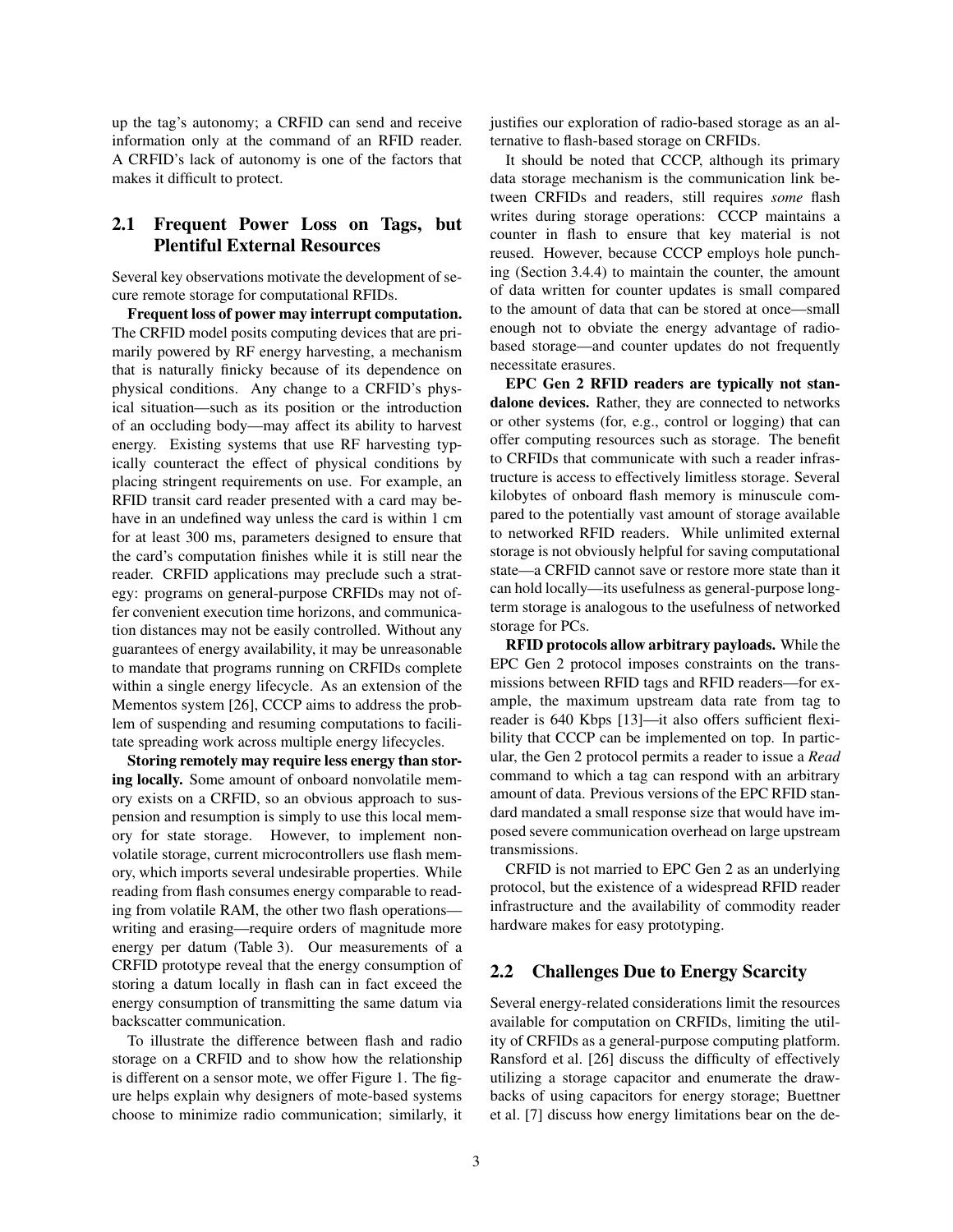up the tag's autonomy; a CRFID can send and receive information only at the command of an RFID reader. A CRFID's lack of autonomy is one of the factors that makes it difficult to protect.

## 2.1 Frequent Power Loss on Tags, but Plentiful External Resources

Several key observations motivate the development of secure remote storage for computational RFIDs.

Frequent loss of power may interrupt computation. The CRFID model posits computing devices that are primarily powered by RF energy harvesting, a mechanism that is naturally finicky because of its dependence on physical conditions. Any change to a CRFID's physical situation—such as its position or the introduction of an occluding body—may affect its ability to harvest energy. Existing systems that use RF harvesting typically counteract the effect of physical conditions by placing stringent requirements on use. For example, an RFID transit card reader presented with a card may behave in an undefined way unless the card is within 1 cm for at least 300 ms, parameters designed to ensure that the card's computation finishes while it is still near the reader. CRFID applications may preclude such a strategy: programs on general-purpose CRFIDs may not offer convenient execution time horizons, and communication distances may not be easily controlled. Without any guarantees of energy availability, it may be unreasonable to mandate that programs running on CRFIDs complete within a single energy lifecycle. As an extension of the Mementos system [26], CCCP aims to address the problem of suspending and resuming computations to facilitate spreading work across multiple energy lifecycles.

Storing remotely may require less energy than storing locally. Some amount of onboard nonvolatile memory exists on a CRFID, so an obvious approach to suspension and resumption is simply to use this local memory for state storage. However, to implement nonvolatile storage, current microcontrollers use flash memory, which imports several undesirable properties. While reading from flash consumes energy comparable to reading from volatile RAM, the other two flash operations writing and erasing—require orders of magnitude more energy per datum (Table 3). Our measurements of a CRFID prototype reveal that the energy consumption of storing a datum locally in flash can in fact exceed the energy consumption of transmitting the same datum via backscatter communication.

To illustrate the difference between flash and radio storage on a CRFID and to show how the relationship is different on a sensor mote, we offer Figure 1. The figure helps explain why designers of mote-based systems choose to minimize radio communication; similarly, it justifies our exploration of radio-based storage as an alternative to flash-based storage on CRFIDs.

It should be noted that CCCP, although its primary data storage mechanism is the communication link between CRFIDs and readers, still requires *some* flash writes during storage operations: CCCP maintains a counter in flash to ensure that key material is not reused. However, because CCCP employs hole punching (Section 3.4.4) to maintain the counter, the amount of data written for counter updates is small compared to the amount of data that can be stored at once—small enough not to obviate the energy advantage of radiobased storage—and counter updates do not frequently necessitate erasures.

EPC Gen 2 RFID readers are typically not standalone devices. Rather, they are connected to networks or other systems (for, e.g., control or logging) that can offer computing resources such as storage. The benefit to CRFIDs that communicate with such a reader infrastructure is access to effectively limitless storage. Several kilobytes of onboard flash memory is minuscule compared to the potentially vast amount of storage available to networked RFID readers. While unlimited external storage is not obviously helpful for saving computational state—a CRFID cannot save or restore more state than it can hold locally—its usefulness as general-purpose longterm storage is analogous to the usefulness of networked storage for PCs.

RFID protocols allow arbitrary payloads. While the EPC Gen 2 protocol imposes constraints on the transmissions between RFID tags and RFID readers—for example, the maximum upstream data rate from tag to reader is 640 Kbps [13]—it also offers sufficient flexibility that CCCP can be implemented on top. In particular, the Gen 2 protocol permits a reader to issue a *Read* command to which a tag can respond with an arbitrary amount of data. Previous versions of the EPC RFID standard mandated a small response size that would have imposed severe communication overhead on large upstream transmissions.

CRFID is not married to EPC Gen 2 as an underlying protocol, but the existence of a widespread RFID reader infrastructure and the availability of commodity reader hardware makes for easy prototyping.

#### 2.2 Challenges Due to Energy Scarcity

Several energy-related considerations limit the resources available for computation on CRFIDs, limiting the utility of CRFIDs as a general-purpose computing platform. Ransford et al. [26] discuss the difficulty of effectively utilizing a storage capacitor and enumerate the drawbacks of using capacitors for energy storage; Buettner et al. [7] discuss how energy limitations bear on the de-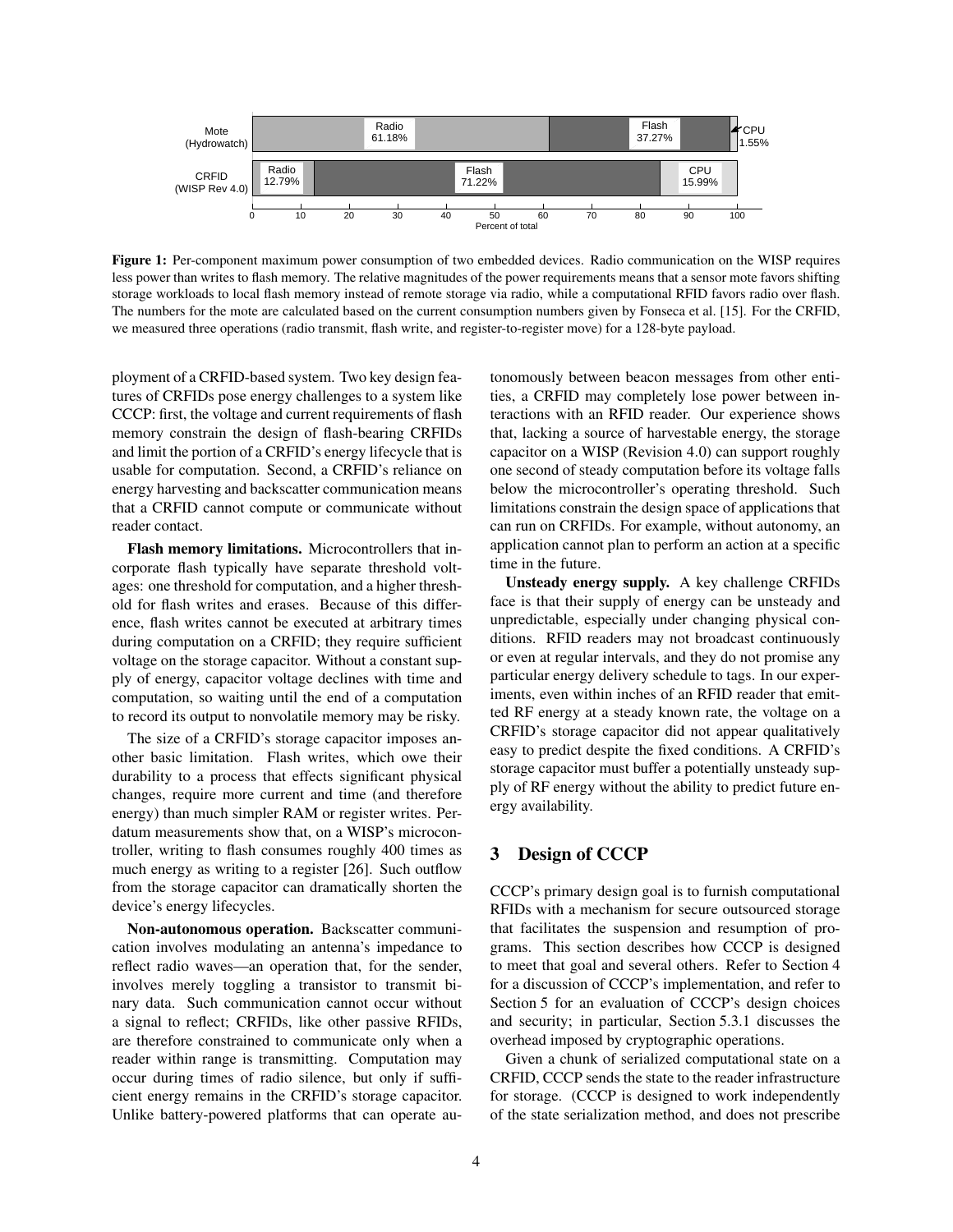

Figure 1: Per-component maximum power consumption of two embedded devices. Radio communication on the WISP requires less power than writes to flash memory. The relative magnitudes of the power requirements means that a sensor mote favors shifting storage workloads to local flash memory instead of remote storage via radio, while a computational RFID favors radio over flash. The numbers for the mote are calculated based on the current consumption numbers given by Fonseca et al. [15]. For the CRFID, we measured three operations (radio transmit, flash write, and register-to-register move) for a 128-byte payload.

ployment of a CRFID-based system. Two key design features of CRFIDs pose energy challenges to a system like CCCP: first, the voltage and current requirements of flash memory constrain the design of flash-bearing CRFIDs and limit the portion of a CRFID's energy lifecycle that is usable for computation. Second, a CRFID's reliance on energy harvesting and backscatter communication means that a CRFID cannot compute or communicate without reader contact.

Flash memory limitations. Microcontrollers that incorporate flash typically have separate threshold voltages: one threshold for computation, and a higher threshold for flash writes and erases. Because of this difference, flash writes cannot be executed at arbitrary times during computation on a CRFID; they require sufficient voltage on the storage capacitor. Without a constant supply of energy, capacitor voltage declines with time and computation, so waiting until the end of a computation to record its output to nonvolatile memory may be risky.

The size of a CRFID's storage capacitor imposes another basic limitation. Flash writes, which owe their durability to a process that effects significant physical changes, require more current and time (and therefore energy) than much simpler RAM or register writes. Perdatum measurements show that, on a WISP's microcontroller, writing to flash consumes roughly 400 times as much energy as writing to a register [26]. Such outflow from the storage capacitor can dramatically shorten the device's energy lifecycles.

Non-autonomous operation. Backscatter communication involves modulating an antenna's impedance to reflect radio waves—an operation that, for the sender, involves merely toggling a transistor to transmit binary data. Such communication cannot occur without a signal to reflect; CRFIDs, like other passive RFIDs, are therefore constrained to communicate only when a reader within range is transmitting. Computation may occur during times of radio silence, but only if sufficient energy remains in the CRFID's storage capacitor. Unlike battery-powered platforms that can operate autonomously between beacon messages from other entities, a CRFID may completely lose power between interactions with an RFID reader. Our experience shows that, lacking a source of harvestable energy, the storage capacitor on a WISP (Revision 4.0) can support roughly one second of steady computation before its voltage falls below the microcontroller's operating threshold. Such limitations constrain the design space of applications that can run on CRFIDs. For example, without autonomy, an application cannot plan to perform an action at a specific time in the future.

Unsteady energy supply. A key challenge CRFIDs face is that their supply of energy can be unsteady and unpredictable, especially under changing physical conditions. RFID readers may not broadcast continuously or even at regular intervals, and they do not promise any particular energy delivery schedule to tags. In our experiments, even within inches of an RFID reader that emitted RF energy at a steady known rate, the voltage on a CRFID's storage capacitor did not appear qualitatively easy to predict despite the fixed conditions. A CRFID's storage capacitor must buffer a potentially unsteady supply of RF energy without the ability to predict future energy availability.

#### 3 Design of CCCP

CCCP's primary design goal is to furnish computational RFIDs with a mechanism for secure outsourced storage that facilitates the suspension and resumption of programs. This section describes how CCCP is designed to meet that goal and several others. Refer to Section 4 for a discussion of CCCP's implementation, and refer to Section 5 for an evaluation of CCCP's design choices and security; in particular, Section 5.3.1 discusses the overhead imposed by cryptographic operations.

Given a chunk of serialized computational state on a CRFID, CCCP sends the state to the reader infrastructure for storage. (CCCP is designed to work independently of the state serialization method, and does not prescribe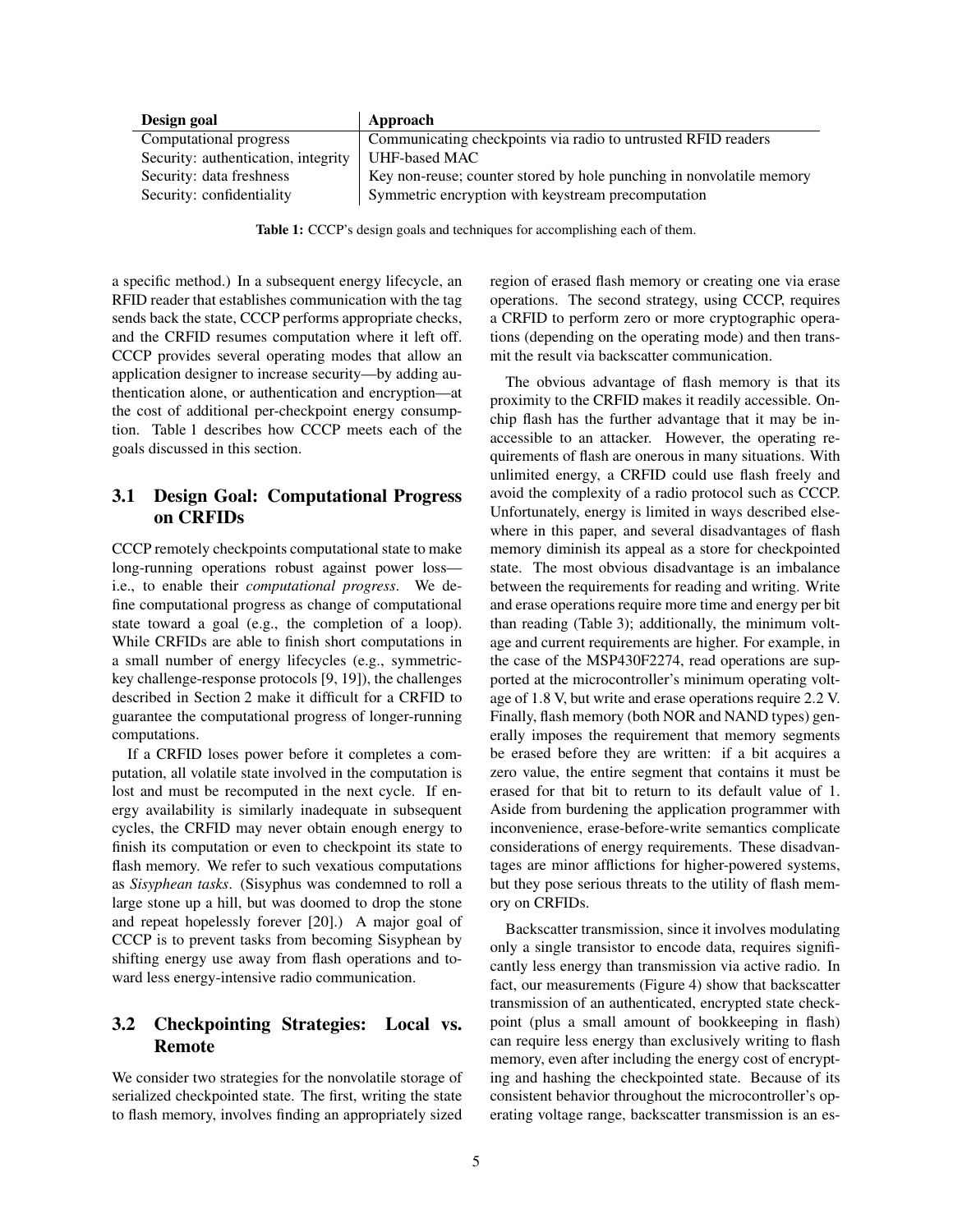| Design goal                         | Approach                                                             |
|-------------------------------------|----------------------------------------------------------------------|
| Computational progress              | Communicating checkpoints via radio to untrusted RFID readers        |
| Security: authentication, integrity | UHF-based MAC                                                        |
| Security: data freshness            | Key non-reuse; counter stored by hole punching in nonvolatile memory |
| Security: confidentiality           | Symmetric encryption with keystream precomputation                   |

Table 1: CCCP's design goals and techniques for accomplishing each of them.

a specific method.) In a subsequent energy lifecycle, an RFID reader that establishes communication with the tag sends back the state, CCCP performs appropriate checks, and the CRFID resumes computation where it left off. CCCP provides several operating modes that allow an application designer to increase security—by adding authentication alone, or authentication and encryption—at the cost of additional per-checkpoint energy consumption. Table 1 describes how CCCP meets each of the goals discussed in this section.

## 3.1 Design Goal: Computational Progress on CRFIDs

CCCP remotely checkpoints computational state to make long-running operations robust against power loss i.e., to enable their *computational progress*. We define computational progress as change of computational state toward a goal (e.g., the completion of a loop). While CRFIDs are able to finish short computations in a small number of energy lifecycles (e.g., symmetrickey challenge-response protocols [9, 19]), the challenges described in Section 2 make it difficult for a CRFID to guarantee the computational progress of longer-running computations.

If a CRFID loses power before it completes a computation, all volatile state involved in the computation is lost and must be recomputed in the next cycle. If energy availability is similarly inadequate in subsequent cycles, the CRFID may never obtain enough energy to finish its computation or even to checkpoint its state to flash memory. We refer to such vexatious computations as *Sisyphean tasks*. (Sisyphus was condemned to roll a large stone up a hill, but was doomed to drop the stone and repeat hopelessly forever [20].) A major goal of CCCP is to prevent tasks from becoming Sisyphean by shifting energy use away from flash operations and toward less energy-intensive radio communication.

## 3.2 Checkpointing Strategies: Local vs. Remote

We consider two strategies for the nonvolatile storage of serialized checkpointed state. The first, writing the state to flash memory, involves finding an appropriately sized region of erased flash memory or creating one via erase operations. The second strategy, using CCCP, requires a CRFID to perform zero or more cryptographic operations (depending on the operating mode) and then transmit the result via backscatter communication.

The obvious advantage of flash memory is that its proximity to the CRFID makes it readily accessible. Onchip flash has the further advantage that it may be inaccessible to an attacker. However, the operating requirements of flash are onerous in many situations. With unlimited energy, a CRFID could use flash freely and avoid the complexity of a radio protocol such as CCCP. Unfortunately, energy is limited in ways described elsewhere in this paper, and several disadvantages of flash memory diminish its appeal as a store for checkpointed state. The most obvious disadvantage is an imbalance between the requirements for reading and writing. Write and erase operations require more time and energy per bit than reading (Table 3); additionally, the minimum voltage and current requirements are higher. For example, in the case of the MSP430F2274, read operations are supported at the microcontroller's minimum operating voltage of 1.8 V, but write and erase operations require 2.2 V. Finally, flash memory (both NOR and NAND types) generally imposes the requirement that memory segments be erased before they are written: if a bit acquires a zero value, the entire segment that contains it must be erased for that bit to return to its default value of 1. Aside from burdening the application programmer with inconvenience, erase-before-write semantics complicate considerations of energy requirements. These disadvantages are minor afflictions for higher-powered systems, but they pose serious threats to the utility of flash memory on CRFIDs.

Backscatter transmission, since it involves modulating only a single transistor to encode data, requires significantly less energy than transmission via active radio. In fact, our measurements (Figure 4) show that backscatter transmission of an authenticated, encrypted state checkpoint (plus a small amount of bookkeeping in flash) can require less energy than exclusively writing to flash memory, even after including the energy cost of encrypting and hashing the checkpointed state. Because of its consistent behavior throughout the microcontroller's operating voltage range, backscatter transmission is an es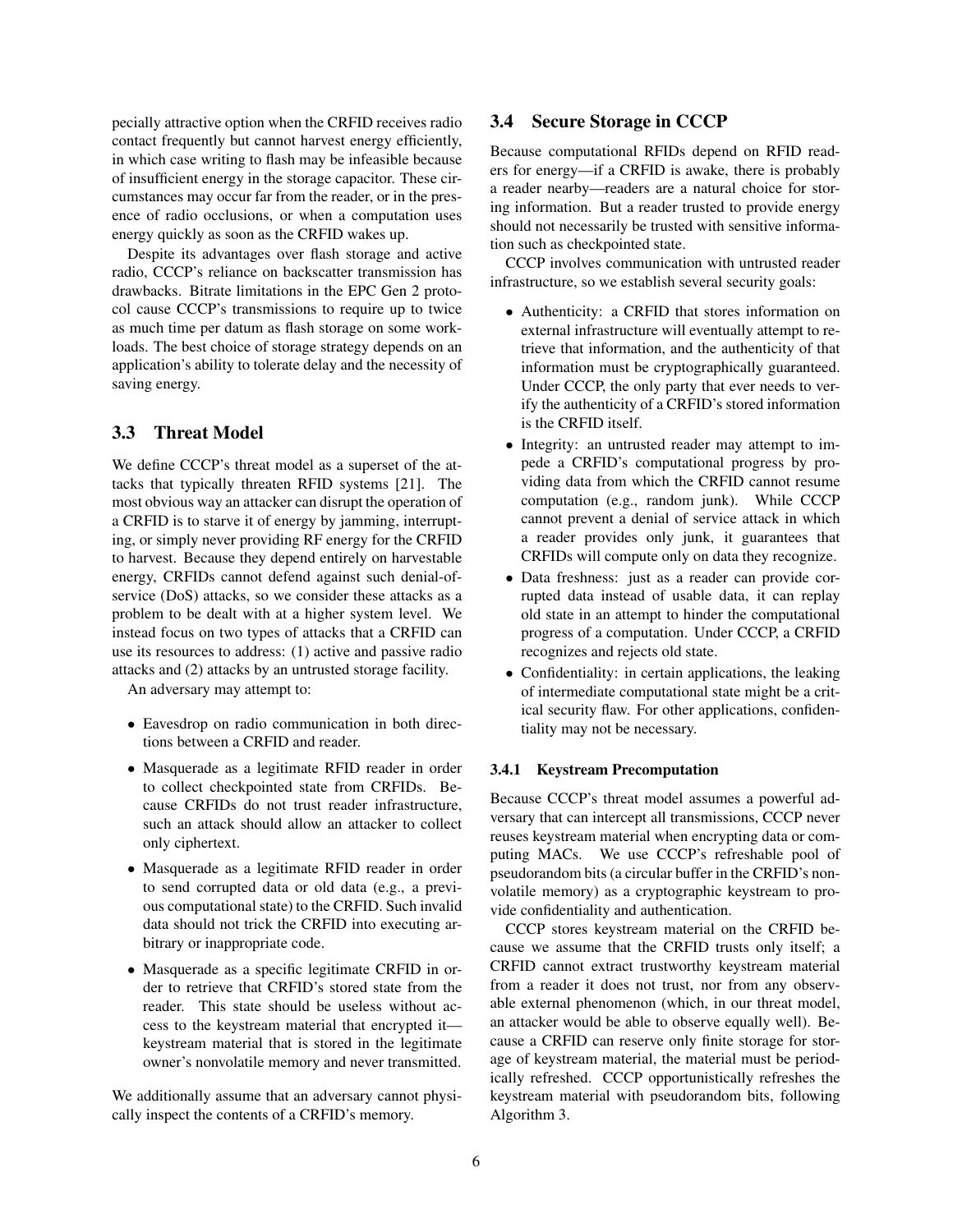pecially attractive option when the CRFID receives radio contact frequently but cannot harvest energy efficiently, in which case writing to flash may be infeasible because of insufficient energy in the storage capacitor. These circumstances may occur far from the reader, or in the presence of radio occlusions, or when a computation uses energy quickly as soon as the CRFID wakes up.

Despite its advantages over flash storage and active radio, CCCP's reliance on backscatter transmission has drawbacks. Bitrate limitations in the EPC Gen 2 protocol cause CCCP's transmissions to require up to twice as much time per datum as flash storage on some workloads. The best choice of storage strategy depends on an application's ability to tolerate delay and the necessity of saving energy.

### 3.3 Threat Model

We define CCCP's threat model as a superset of the attacks that typically threaten RFID systems [21]. The most obvious way an attacker can disrupt the operation of a CRFID is to starve it of energy by jamming, interrupting, or simply never providing RF energy for the CRFID to harvest. Because they depend entirely on harvestable energy, CRFIDs cannot defend against such denial-ofservice (DoS) attacks, so we consider these attacks as a problem to be dealt with at a higher system level. We instead focus on two types of attacks that a CRFID can use its resources to address: (1) active and passive radio attacks and (2) attacks by an untrusted storage facility.

An adversary may attempt to:

- Eavesdrop on radio communication in both directions between a CRFID and reader.
- Masquerade as a legitimate RFID reader in order to collect checkpointed state from CRFIDs. Because CRFIDs do not trust reader infrastructure, such an attack should allow an attacker to collect only ciphertext.
- Masquerade as a legitimate RFID reader in order to send corrupted data or old data (e.g., a previous computational state) to the CRFID. Such invalid data should not trick the CRFID into executing arbitrary or inappropriate code.
- Masquerade as a specific legitimate CRFID in order to retrieve that CRFID's stored state from the reader. This state should be useless without access to the keystream material that encrypted it keystream material that is stored in the legitimate owner's nonvolatile memory and never transmitted.

We additionally assume that an adversary cannot physically inspect the contents of a CRFID's memory.

### 3.4 Secure Storage in CCCP

Because computational RFIDs depend on RFID readers for energy—if a CRFID is awake, there is probably a reader nearby—readers are a natural choice for storing information. But a reader trusted to provide energy should not necessarily be trusted with sensitive information such as checkpointed state.

CCCP involves communication with untrusted reader infrastructure, so we establish several security goals:

- Authenticity: a CRFID that stores information on external infrastructure will eventually attempt to retrieve that information, and the authenticity of that information must be cryptographically guaranteed. Under CCCP, the only party that ever needs to verify the authenticity of a CRFID's stored information is the CRFID itself.
- Integrity: an untrusted reader may attempt to impede a CRFID's computational progress by providing data from which the CRFID cannot resume computation (e.g., random junk). While CCCP cannot prevent a denial of service attack in which a reader provides only junk, it guarantees that CRFIDs will compute only on data they recognize.
- Data freshness: just as a reader can provide corrupted data instead of usable data, it can replay old state in an attempt to hinder the computational progress of a computation. Under CCCP, a CRFID recognizes and rejects old state.
- Confidentiality: in certain applications, the leaking of intermediate computational state might be a critical security flaw. For other applications, confidentiality may not be necessary.

#### 3.4.1 Keystream Precomputation

Because CCCP's threat model assumes a powerful adversary that can intercept all transmissions, CCCP never reuses keystream material when encrypting data or computing MACs. We use CCCP's refreshable pool of pseudorandom bits (a circular buffer in the CRFID's nonvolatile memory) as a cryptographic keystream to provide confidentiality and authentication.

CCCP stores keystream material on the CRFID because we assume that the CRFID trusts only itself; a CRFID cannot extract trustworthy keystream material from a reader it does not trust, nor from any observable external phenomenon (which, in our threat model, an attacker would be able to observe equally well). Because a CRFID can reserve only finite storage for storage of keystream material, the material must be periodically refreshed. CCCP opportunistically refreshes the keystream material with pseudorandom bits, following Algorithm 3.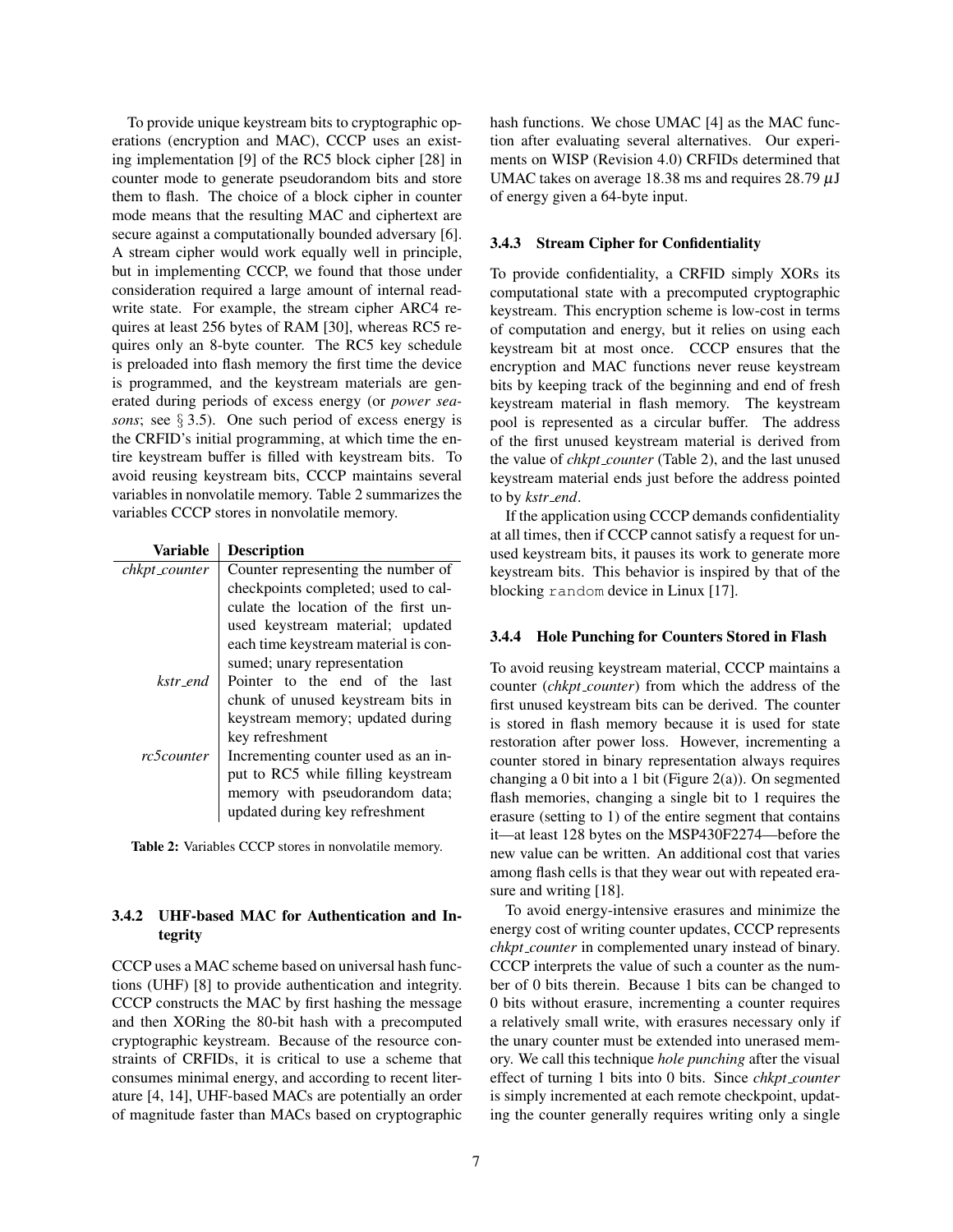To provide unique keystream bits to cryptographic operations (encryption and MAC), CCCP uses an existing implementation [9] of the RC5 block cipher [28] in counter mode to generate pseudorandom bits and store them to flash. The choice of a block cipher in counter mode means that the resulting MAC and ciphertext are secure against a computationally bounded adversary [6]. A stream cipher would work equally well in principle, but in implementing CCCP, we found that those under consideration required a large amount of internal readwrite state. For example, the stream cipher ARC4 requires at least 256 bytes of RAM [30], whereas RC5 requires only an 8-byte counter. The RC5 key schedule is preloaded into flash memory the first time the device is programmed, and the keystream materials are generated during periods of excess energy (or *power seasons*; see § 3.5). One such period of excess energy is the CRFID's initial programming, at which time the entire keystream buffer is filled with keystream bits. To avoid reusing keystream bits, CCCP maintains several variables in nonvolatile memory. Table 2 summarizes the variables CCCP stores in nonvolatile memory.

| Variable      | <b>Description</b>                                                  |  |  |  |  |
|---------------|---------------------------------------------------------------------|--|--|--|--|
| chkpt_counter | Counter representing the number of                                  |  |  |  |  |
|               | checkpoints completed; used to cal-                                 |  |  |  |  |
|               | culate the location of the first un-                                |  |  |  |  |
|               | used keystream material; updated                                    |  |  |  |  |
|               | each time keystream material is con-                                |  |  |  |  |
|               | sumed; unary representation                                         |  |  |  |  |
| kstr end      | Pointer to the end of the last<br>chunk of unused keystream bits in |  |  |  |  |
|               |                                                                     |  |  |  |  |
|               | keystream memory; updated during                                    |  |  |  |  |
|               | key refreshment                                                     |  |  |  |  |
| rc5counter    | Incrementing counter used as an in-                                 |  |  |  |  |
|               | put to RC5 while filling keystream                                  |  |  |  |  |
|               | memory with pseudorandom data;                                      |  |  |  |  |
|               | updated during key refreshment                                      |  |  |  |  |
|               |                                                                     |  |  |  |  |

Table 2: Variables CCCP stores in nonvolatile memory.

#### 3.4.2 UHF-based MAC for Authentication and Integrity

CCCP uses a MAC scheme based on universal hash functions (UHF) [8] to provide authentication and integrity. CCCP constructs the MAC by first hashing the message and then XORing the 80-bit hash with a precomputed cryptographic keystream. Because of the resource constraints of CRFIDs, it is critical to use a scheme that consumes minimal energy, and according to recent literature [4, 14], UHF-based MACs are potentially an order of magnitude faster than MACs based on cryptographic hash functions. We chose UMAC [4] as the MAC function after evaluating several alternatives. Our experiments on WISP (Revision 4.0) CRFIDs determined that UMAC takes on average 18.38 ms and requires 28.79  $\mu$ J of energy given a 64-byte input.

#### 3.4.3 Stream Cipher for Confidentiality

To provide confidentiality, a CRFID simply XORs its computational state with a precomputed cryptographic keystream. This encryption scheme is low-cost in terms of computation and energy, but it relies on using each keystream bit at most once. CCCP ensures that the encryption and MAC functions never reuse keystream bits by keeping track of the beginning and end of fresh keystream material in flash memory. The keystream pool is represented as a circular buffer. The address of the first unused keystream material is derived from the value of *chkpt counter* (Table 2), and the last unused keystream material ends just before the address pointed to by *kstr end*.

If the application using CCCP demands confidentiality at all times, then if CCCP cannot satisfy a request for unused keystream bits, it pauses its work to generate more keystream bits. This behavior is inspired by that of the blocking random device in Linux [17].

#### 3.4.4 Hole Punching for Counters Stored in Flash

To avoid reusing keystream material, CCCP maintains a counter (*chkpt counter*) from which the address of the first unused keystream bits can be derived. The counter is stored in flash memory because it is used for state restoration after power loss. However, incrementing a counter stored in binary representation always requires changing a 0 bit into a 1 bit (Figure 2(a)). On segmented flash memories, changing a single bit to 1 requires the erasure (setting to 1) of the entire segment that contains it—at least 128 bytes on the MSP430F2274—before the new value can be written. An additional cost that varies among flash cells is that they wear out with repeated erasure and writing [18].

To avoid energy-intensive erasures and minimize the energy cost of writing counter updates, CCCP represents *chkpt counter* in complemented unary instead of binary. CCCP interprets the value of such a counter as the number of 0 bits therein. Because 1 bits can be changed to 0 bits without erasure, incrementing a counter requires a relatively small write, with erasures necessary only if the unary counter must be extended into unerased memory. We call this technique *hole punching* after the visual effect of turning 1 bits into 0 bits. Since *chkpt counter* is simply incremented at each remote checkpoint, updating the counter generally requires writing only a single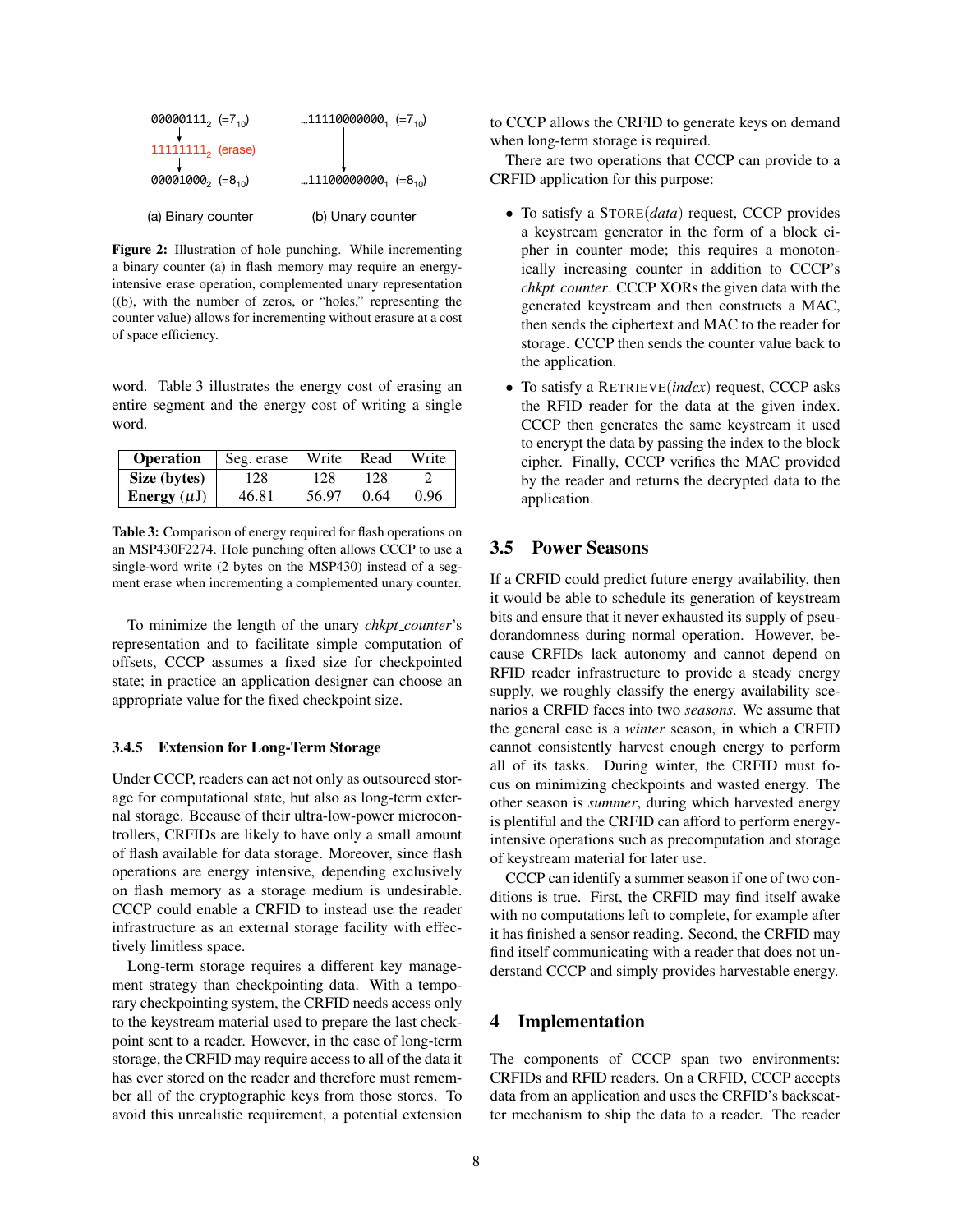

Figure 2: Illustration of hole punching. While incrementing a binary counter (a) in flash memory may require an energyintensive erase operation, complemented unary representation ((b), with the number of zeros, or "holes," representing the counter value) allows for incrementing without erasure at a cost of space efficiency.

word. Table 3 illustrates the energy cost of erasing an entire segment and the energy cost of writing a single word.

| <b>Operation</b> | Seg. erase | Write | Read | Write |
|------------------|------------|-------|------|-------|
| Size (bytes)     | 128        | 128   | 128  |       |
| Energy $(\mu J)$ | 46.81      | 56.97 | 0.64 | 0.96  |

Table 3: Comparison of energy required for flash operations on an MSP430F2274. Hole punching often allows CCCP to use a single-word write (2 bytes on the MSP430) instead of a segment erase when incrementing a complemented unary counter.

To minimize the length of the unary *chkpt counter*'s representation and to facilitate simple computation of offsets, CCCP assumes a fixed size for checkpointed state; in practice an application designer can choose an appropriate value for the fixed checkpoint size.

#### 3.4.5 Extension for Long-Term Storage

Under CCCP, readers can act not only as outsourced storage for computational state, but also as long-term external storage. Because of their ultra-low-power microcontrollers, CRFIDs are likely to have only a small amount of flash available for data storage. Moreover, since flash operations are energy intensive, depending exclusively on flash memory as a storage medium is undesirable. CCCP could enable a CRFID to instead use the reader infrastructure as an external storage facility with effectively limitless space.

Long-term storage requires a different key management strategy than checkpointing data. With a temporary checkpointing system, the CRFID needs access only to the keystream material used to prepare the last checkpoint sent to a reader. However, in the case of long-term storage, the CRFID may require access to all of the data it has ever stored on the reader and therefore must remember all of the cryptographic keys from those stores. To avoid this unrealistic requirement, a potential extension to CCCP allows the CRFID to generate keys on demand when long-term storage is required.

There are two operations that CCCP can provide to a CRFID application for this purpose:

- To satisfy a STORE(*data*) request, CCCP provides a keystream generator in the form of a block cipher in counter mode; this requires a monotonically increasing counter in addition to CCCP's *chkpt counter*. CCCP XORs the given data with the generated keystream and then constructs a MAC, then sends the ciphertext and MAC to the reader for storage. CCCP then sends the counter value back to the application.
- To satisfy a RETRIEVE(*index*) request, CCCP asks the RFID reader for the data at the given index. CCCP then generates the same keystream it used to encrypt the data by passing the index to the block cipher. Finally, CCCP verifies the MAC provided by the reader and returns the decrypted data to the application.

### 3.5 Power Seasons

If a CRFID could predict future energy availability, then it would be able to schedule its generation of keystream bits and ensure that it never exhausted its supply of pseudorandomness during normal operation. However, because CRFIDs lack autonomy and cannot depend on RFID reader infrastructure to provide a steady energy supply, we roughly classify the energy availability scenarios a CRFID faces into two *seasons*. We assume that the general case is a *winter* season, in which a CRFID cannot consistently harvest enough energy to perform all of its tasks. During winter, the CRFID must focus on minimizing checkpoints and wasted energy. The other season is *summer*, during which harvested energy is plentiful and the CRFID can afford to perform energyintensive operations such as precomputation and storage of keystream material for later use.

CCCP can identify a summer season if one of two conditions is true. First, the CRFID may find itself awake with no computations left to complete, for example after it has finished a sensor reading. Second, the CRFID may find itself communicating with a reader that does not understand CCCP and simply provides harvestable energy.

### 4 Implementation

The components of CCCP span two environments: CRFIDs and RFID readers. On a CRFID, CCCP accepts data from an application and uses the CRFID's backscatter mechanism to ship the data to a reader. The reader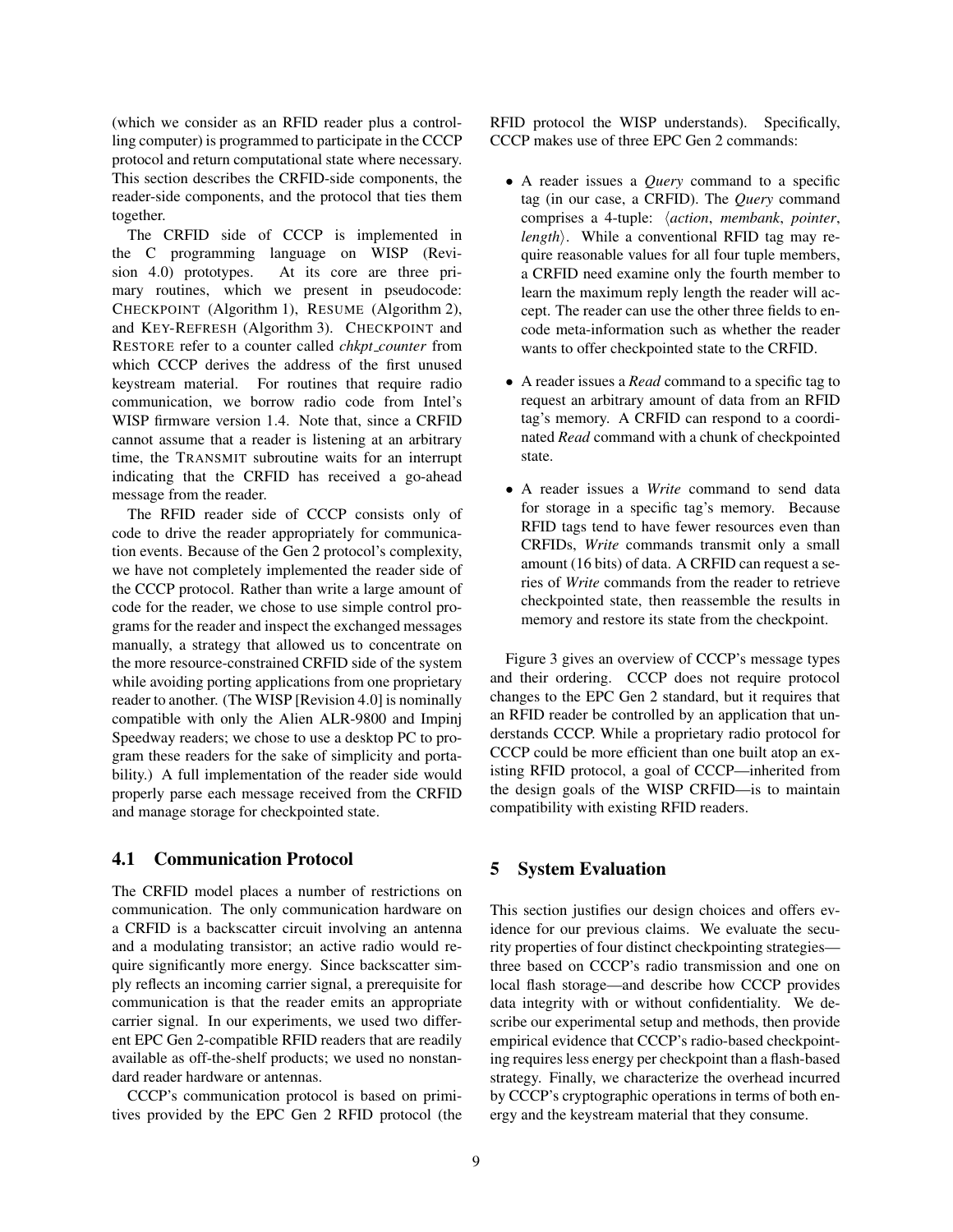(which we consider as an RFID reader plus a controlling computer) is programmed to participate in the CCCP protocol and return computational state where necessary. This section describes the CRFID-side components, the reader-side components, and the protocol that ties them together.

The CRFID side of CCCP is implemented in the C programming language on WISP (Revision 4.0) prototypes. At its core are three primary routines, which we present in pseudocode: CHECKPOINT (Algorithm 1), RESUME (Algorithm 2), and KEY-REFRESH (Algorithm 3). CHECKPOINT and RESTORE refer to a counter called *chkpt counter* from which CCCP derives the address of the first unused keystream material. For routines that require radio communication, we borrow radio code from Intel's WISP firmware version 1.4. Note that, since a CRFID cannot assume that a reader is listening at an arbitrary time, the TRANSMIT subroutine waits for an interrupt indicating that the CRFID has received a go-ahead message from the reader.

The RFID reader side of CCCP consists only of code to drive the reader appropriately for communication events. Because of the Gen 2 protocol's complexity, we have not completely implemented the reader side of the CCCP protocol. Rather than write a large amount of code for the reader, we chose to use simple control programs for the reader and inspect the exchanged messages manually, a strategy that allowed us to concentrate on the more resource-constrained CRFID side of the system while avoiding porting applications from one proprietary reader to another. (The WISP [Revision 4.0] is nominally compatible with only the Alien ALR-9800 and Impinj Speedway readers; we chose to use a desktop PC to program these readers for the sake of simplicity and portability.) A full implementation of the reader side would properly parse each message received from the CRFID and manage storage for checkpointed state.

#### 4.1 Communication Protocol

The CRFID model places a number of restrictions on communication. The only communication hardware on a CRFID is a backscatter circuit involving an antenna and a modulating transistor; an active radio would require significantly more energy. Since backscatter simply reflects an incoming carrier signal, a prerequisite for communication is that the reader emits an appropriate carrier signal. In our experiments, we used two different EPC Gen 2-compatible RFID readers that are readily available as off-the-shelf products; we used no nonstandard reader hardware or antennas.

CCCP's communication protocol is based on primitives provided by the EPC Gen 2 RFID protocol (the RFID protocol the WISP understands). Specifically, CCCP makes use of three EPC Gen 2 commands:

- A reader issues a *Query* command to a specific tag (in our case, a CRFID). The *Query* command comprises a 4-tuple: h*action*, *membank*, *pointer*, *length*). While a conventional RFID tag may require reasonable values for all four tuple members, a CRFID need examine only the fourth member to learn the maximum reply length the reader will accept. The reader can use the other three fields to encode meta-information such as whether the reader wants to offer checkpointed state to the CRFID.
- A reader issues a *Read* command to a specific tag to request an arbitrary amount of data from an RFID tag's memory. A CRFID can respond to a coordinated *Read* command with a chunk of checkpointed state.
- A reader issues a *Write* command to send data for storage in a specific tag's memory. Because RFID tags tend to have fewer resources even than CRFIDs, *Write* commands transmit only a small amount (16 bits) of data. A CRFID can request a series of *Write* commands from the reader to retrieve checkpointed state, then reassemble the results in memory and restore its state from the checkpoint.

Figure 3 gives an overview of CCCP's message types and their ordering. CCCP does not require protocol changes to the EPC Gen 2 standard, but it requires that an RFID reader be controlled by an application that understands CCCP. While a proprietary radio protocol for CCCP could be more efficient than one built atop an existing RFID protocol, a goal of CCCP—inherited from the design goals of the WISP CRFID—is to maintain compatibility with existing RFID readers.

#### 5 System Evaluation

This section justifies our design choices and offers evidence for our previous claims. We evaluate the security properties of four distinct checkpointing strategies three based on CCCP's radio transmission and one on local flash storage—and describe how CCCP provides data integrity with or without confidentiality. We describe our experimental setup and methods, then provide empirical evidence that CCCP's radio-based checkpointing requires less energy per checkpoint than a flash-based strategy. Finally, we characterize the overhead incurred by CCCP's cryptographic operations in terms of both energy and the keystream material that they consume.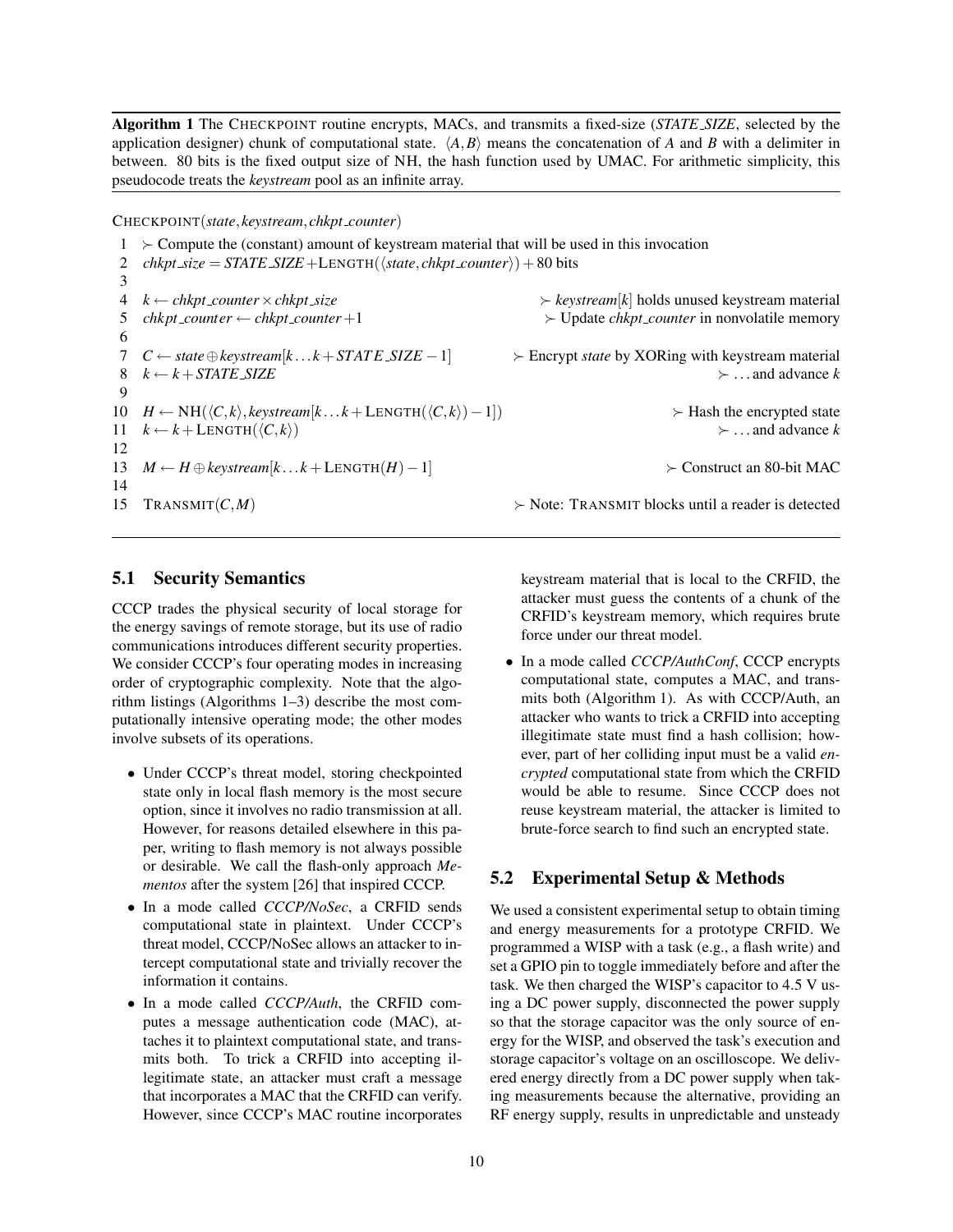Algorithm 1 The CHECKPOINT routine encrypts, MACs, and transmits a fixed-size (*STATE SIZE*, selected by the application designer) chunk of computational state.  $\langle A, B \rangle$  means the concatenation of *A* and *B* with a delimiter in between. 80 bits is the fixed output size of NH, the hash function used by UMAC. For arithmetic simplicity, this pseudocode treats the *keystream* pool as an infinite array.

CHECKPOINT(*state*,*keystream*,*chkpt counter*)

 $1 >$  Compute the (constant) amount of keystream material that will be used in this invocation 2 *chkpt\_size* =  $STATE$ \_SIZE +LENGTH( $\langle state, chkpt\_counter \rangle$ ) + 80 bits 3 4  $k$  ← *chkpt\_counter*  $\times$  *chkpt\_size*  $\times$  *keystream*[*k*] holds unused keystream material 5 *chkpt counter* ← *chkpt counter* +1  $\rightarrow$  Update *chkpt counter* in nonvolatile memory 6 7 *C* ← *state*⊕*keystream*[*k* ...*k* +*STAT E SIZE* −1] Encrypt *state* by XORing with keystream material 8  $k \leftarrow k + \text{STATE}}$  *SIZE*  $\rightarrow \dots$  and advance *k* 9 10 *H* ← NH( $\langle C, k \rangle$ , *keystream*[ $k \dots k + \text{LENGTH}(\langle C, k \rangle) - 1$ ]) > Hash the encrypted state  $11 \quad k \leftarrow k + \text{LENGTH}(\langle C, k \rangle)$  ... and advance *k* 12 13 *M* ← *H* ⊕*keystream*[*k* ...*k* + LENGTH(*H*)−1] Construct an 80-bit MAC 14 15 TRANSMIT $(C, M)$  > Note: TRANSMIT blocks until a reader is detected

#### 5.1 Security Semantics

CCCP trades the physical security of local storage for the energy savings of remote storage, but its use of radio communications introduces different security properties. We consider CCCP's four operating modes in increasing order of cryptographic complexity. Note that the algorithm listings (Algorithms 1–3) describe the most computationally intensive operating mode; the other modes involve subsets of its operations.

- Under CCCP's threat model, storing checkpointed state only in local flash memory is the most secure option, since it involves no radio transmission at all. However, for reasons detailed elsewhere in this paper, writing to flash memory is not always possible or desirable. We call the flash-only approach *Mementos* after the system [26] that inspired CCCP.
- In a mode called *CCCP/NoSec*, a CRFID sends computational state in plaintext. Under CCCP's threat model, CCCP/NoSec allows an attacker to intercept computational state and trivially recover the information it contains.
- In a mode called *CCCP/Auth*, the CRFID computes a message authentication code (MAC), attaches it to plaintext computational state, and transmits both. To trick a CRFID into accepting illegitimate state, an attacker must craft a message that incorporates a MAC that the CRFID can verify. However, since CCCP's MAC routine incorporates

keystream material that is local to the CRFID, the attacker must guess the contents of a chunk of the CRFID's keystream memory, which requires brute force under our threat model.

• In a mode called *CCCP/AuthConf*, CCCP encrypts computational state, computes a MAC, and transmits both (Algorithm 1). As with CCCP/Auth, an attacker who wants to trick a CRFID into accepting illegitimate state must find a hash collision; however, part of her colliding input must be a valid *encrypted* computational state from which the CRFID would be able to resume. Since CCCP does not reuse keystream material, the attacker is limited to brute-force search to find such an encrypted state.

### 5.2 Experimental Setup & Methods

We used a consistent experimental setup to obtain timing and energy measurements for a prototype CRFID. We programmed a WISP with a task (e.g., a flash write) and set a GPIO pin to toggle immediately before and after the task. We then charged the WISP's capacitor to 4.5 V using a DC power supply, disconnected the power supply so that the storage capacitor was the only source of energy for the WISP, and observed the task's execution and storage capacitor's voltage on an oscilloscope. We delivered energy directly from a DC power supply when taking measurements because the alternative, providing an RF energy supply, results in unpredictable and unsteady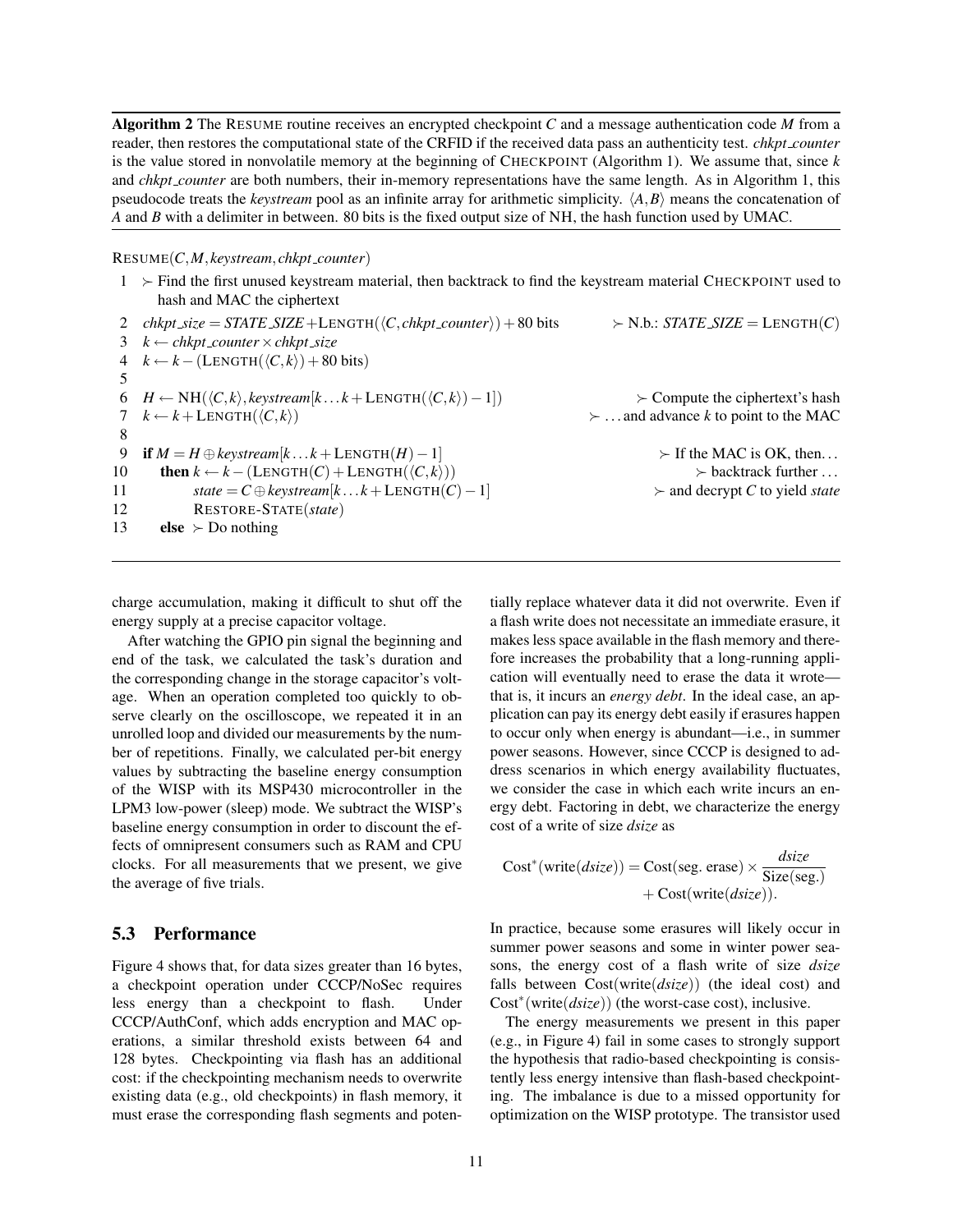Algorithm 2 The RESUME routine receives an encrypted checkpoint *C* and a message authentication code *M* from a reader, then restores the computational state of the CRFID if the received data pass an authenticity test. *chkpt counter* is the value stored in nonvolatile memory at the beginning of CHECKPOINT (Algorithm 1). We assume that, since *k* and *chkpt counter* are both numbers, their in-memory representations have the same length. As in Algorithm 1, this pseudocode treats the *keystream* pool as an infinite array for arithmetic simplicity.  $\langle A, B \rangle$  means the concatenation of *A* and *B* with a delimiter in between. 80 bits is the fixed output size of NH, the hash function used by UMAC.

#### RESUME(*C*,*M*,*keystream*,*chkpt counter*)

 $1 \rightarrow$  Find the first unused keystream material, then backtrack to find the keystream material CHECKPOINT used to hash and MAC the ciphertext 2  $\text{chkpt\_size} = \text{STATE\_SIZE} + \text{LENGTH}(\langle C, \text{chkpt\_counter} \rangle) + 80 \text{ bits} \rightarrow \text{N.b.: STATE\_SIZE} = \text{LENGTH}(C)$ 3 *k* ← *chkpt counter*×*chkpt size*  $4 \quad k \leftarrow k - ($ LENGTH( $\langle C, k \rangle$ ) + 80 bits) 5 6 *H* ← NH( $\langle C, k \rangle$ , *keystream*[ $k \dots k +$  LENGTH( $\langle C, k \rangle$ ) − 1]) > > Compute the ciphertext's hash  $7 \quad k \leftarrow k + \text{LENGTH}(\langle C, k \rangle)$   $\rightarrow \dots$  and advance *k* to point to the MAC 8 9 if  $M = H \oplus \text{keystream}[k...k + \text{LENGTH}(H) - 1]$   $\rightarrow$  If the MAC is OK, then... 10 then  $k \leftarrow k - ($ LENGTH $(C)$  + LENGTH $(\langle C, k \rangle)$   $\rightarrow$  backtrack further ... 11 *state* =  $C \oplus \text{keystream}[k...k + \text{LENGTH}(C) - 1]$   $\rightarrow$  and decrypt *C* to yield *state* 12 RESTORE-STATE(*state*) 13 **else**  $\succ$  Do nothing

charge accumulation, making it difficult to shut off the energy supply at a precise capacitor voltage.

After watching the GPIO pin signal the beginning and end of the task, we calculated the task's duration and the corresponding change in the storage capacitor's voltage. When an operation completed too quickly to observe clearly on the oscilloscope, we repeated it in an unrolled loop and divided our measurements by the number of repetitions. Finally, we calculated per-bit energy values by subtracting the baseline energy consumption of the WISP with its MSP430 microcontroller in the LPM3 low-power (sleep) mode. We subtract the WISP's baseline energy consumption in order to discount the effects of omnipresent consumers such as RAM and CPU clocks. For all measurements that we present, we give the average of five trials.

## 5.3 Performance

Figure 4 shows that, for data sizes greater than 16 bytes, a checkpoint operation under CCCP/NoSec requires less energy than a checkpoint to flash. Under CCCP/AuthConf, which adds encryption and MAC operations, a similar threshold exists between 64 and 128 bytes. Checkpointing via flash has an additional cost: if the checkpointing mechanism needs to overwrite existing data (e.g., old checkpoints) in flash memory, it must erase the corresponding flash segments and potentially replace whatever data it did not overwrite. Even if a flash write does not necessitate an immediate erasure, it makes less space available in the flash memory and therefore increases the probability that a long-running application will eventually need to erase the data it wrote that is, it incurs an *energy debt*. In the ideal case, an application can pay its energy debt easily if erasures happen to occur only when energy is abundant—i.e., in summer power seasons. However, since CCCP is designed to address scenarios in which energy availability fluctuates, we consider the case in which each write incurs an energy debt. Factoring in debt, we characterize the energy cost of a write of size *dsize* as

$$
Cost*(write(disize)) = Cost(seg. erase) \times \frac{disize}{Size(seg.)} + Cost(write(disize)).
$$

In practice, because some erasures will likely occur in summer power seasons and some in winter power seasons, the energy cost of a flash write of size *dsize* falls between Cost(write(*dsize*)) (the ideal cost) and Cost<sup>∗</sup> (write(*dsize*)) (the worst-case cost), inclusive.

The energy measurements we present in this paper (e.g., in Figure 4) fail in some cases to strongly support the hypothesis that radio-based checkpointing is consistently less energy intensive than flash-based checkpointing. The imbalance is due to a missed opportunity for optimization on the WISP prototype. The transistor used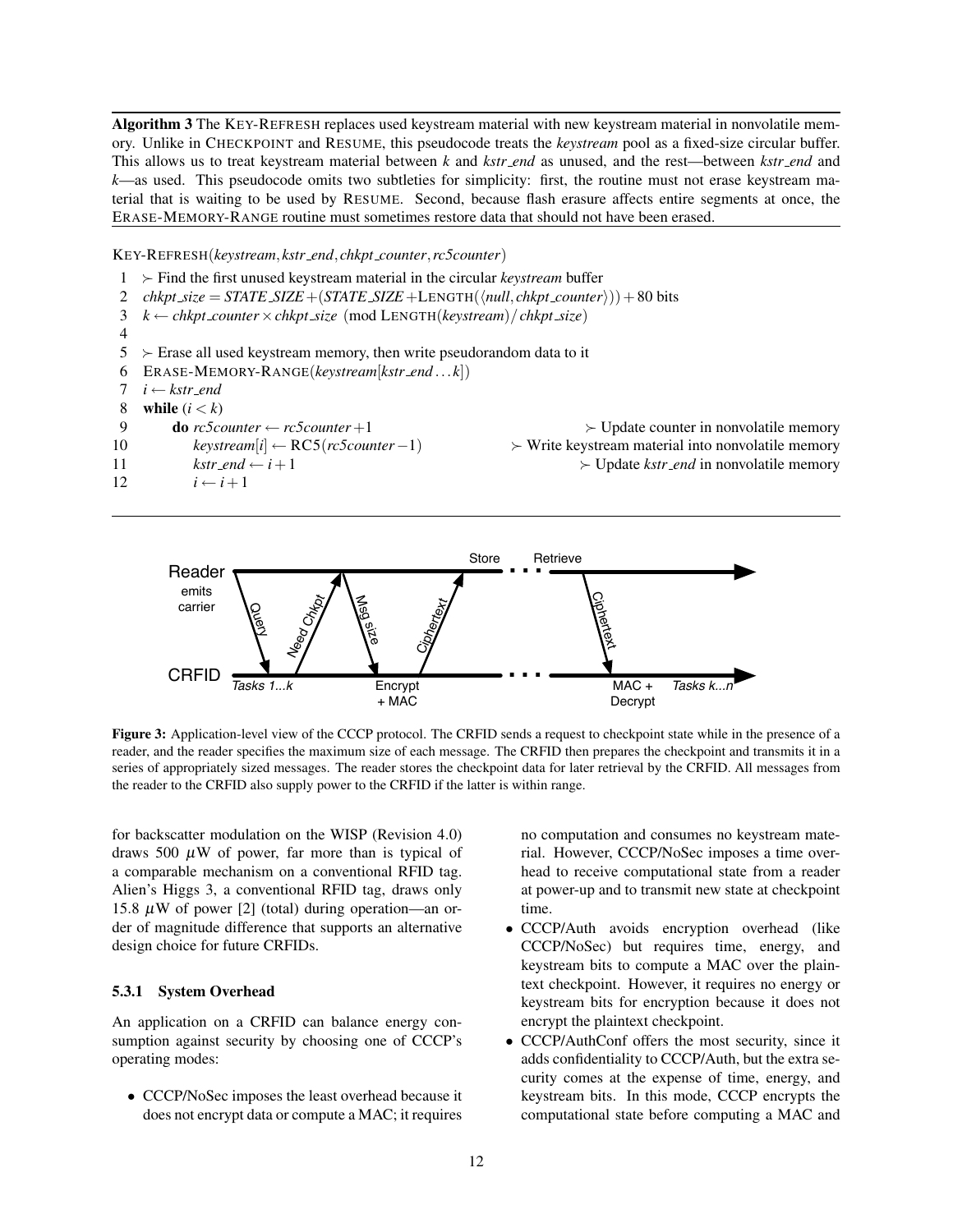Algorithm 3 The KEY-REFRESH replaces used keystream material with new keystream material in nonvolatile memory. Unlike in CHECKPOINT and RESUME, this pseudocode treats the *keystream* pool as a fixed-size circular buffer. This allows us to treat keystream material between *k* and *kstr end* as unused, and the rest—between *kstr end* and *k*—as used. This pseudocode omits two subtleties for simplicity: first, the routine must not erase keystream material that is waiting to be used by RESUME. Second, because flash erasure affects entire segments at once, the ERASE-MEMORY-RANGE routine must sometimes restore data that should not have been erased.

KEY-REFRESH(*keystream*,*kstr end*,*chkpt counter*,*rc5counter*)

 $1 \rightarrow$  Find the first unused keystream material in the circular *keystream* buffer 2 *chkpt\_size* =  $STATE\_SIZE + (STATE\_SIZE + LENGTH(\langle null, chkpt\_counter \rangle)) + 80 bits$ 3 *k* ← *chkpt counter*×*chkpt size* (mod LENGTH(*keystream*)/*chkpt size*) 4  $5 \rightarrow$  Erase all used keystream memory, then write pseudorandom data to it 6 ERASE-MEMORY-RANGE(*keystream*[*kstr end* ...*k*]) 7 *i* ← *kstr end* 8 while  $(i < k)$ 9 do  $rc5counter \leftarrow rc5counter +1$   $\rightarrow$  Update counter in nonvolatile memory 10 *keystream*[*i*] ← RC5(*rc5counter*−1) Write keystream material into nonvolatile memory 11 *kstr\_end*  $\leftarrow i+1$   $\rightarrow$  Update *kstr\_end* in nonvolatile memory 12  $i \leftarrow i+1$ 



Figure 3: Application-level view of the CCCP protocol. The CRFID sends a request to checkpoint state while in the presence of a reader, and the reader specifies the maximum size of each message. The CRFID then prepares the checkpoint and transmits it in a series of appropriately sized messages. The reader stores the checkpoint data for later retrieval by the CRFID. All messages from the reader to the CRFID also supply power to the CRFID if the latter is within range.

for backscatter modulation on the WISP (Revision 4.0) draws 500  $\mu$ W of power, far more than is typical of a comparable mechanism on a conventional RFID tag. Alien's Higgs 3, a conventional RFID tag, draws only 15.8  $\mu$ W of power [2] (total) during operation—an order of magnitude difference that supports an alternative design choice for future CRFIDs.

#### 5.3.1 System Overhead

An application on a CRFID can balance energy consumption against security by choosing one of CCCP's operating modes:

• CCCP/NoSec imposes the least overhead because it does not encrypt data or compute a MAC; it requires

no computation and consumes no keystream material. However, CCCP/NoSec imposes a time overhead to receive computational state from a reader at power-up and to transmit new state at checkpoint time.

- CCCP/Auth avoids encryption overhead (like CCCP/NoSec) but requires time, energy, and keystream bits to compute a MAC over the plaintext checkpoint. However, it requires no energy or keystream bits for encryption because it does not encrypt the plaintext checkpoint.
- CCCP/AuthConf offers the most security, since it adds confidentiality to CCCP/Auth, but the extra security comes at the expense of time, energy, and keystream bits. In this mode, CCCP encrypts the computational state before computing a MAC and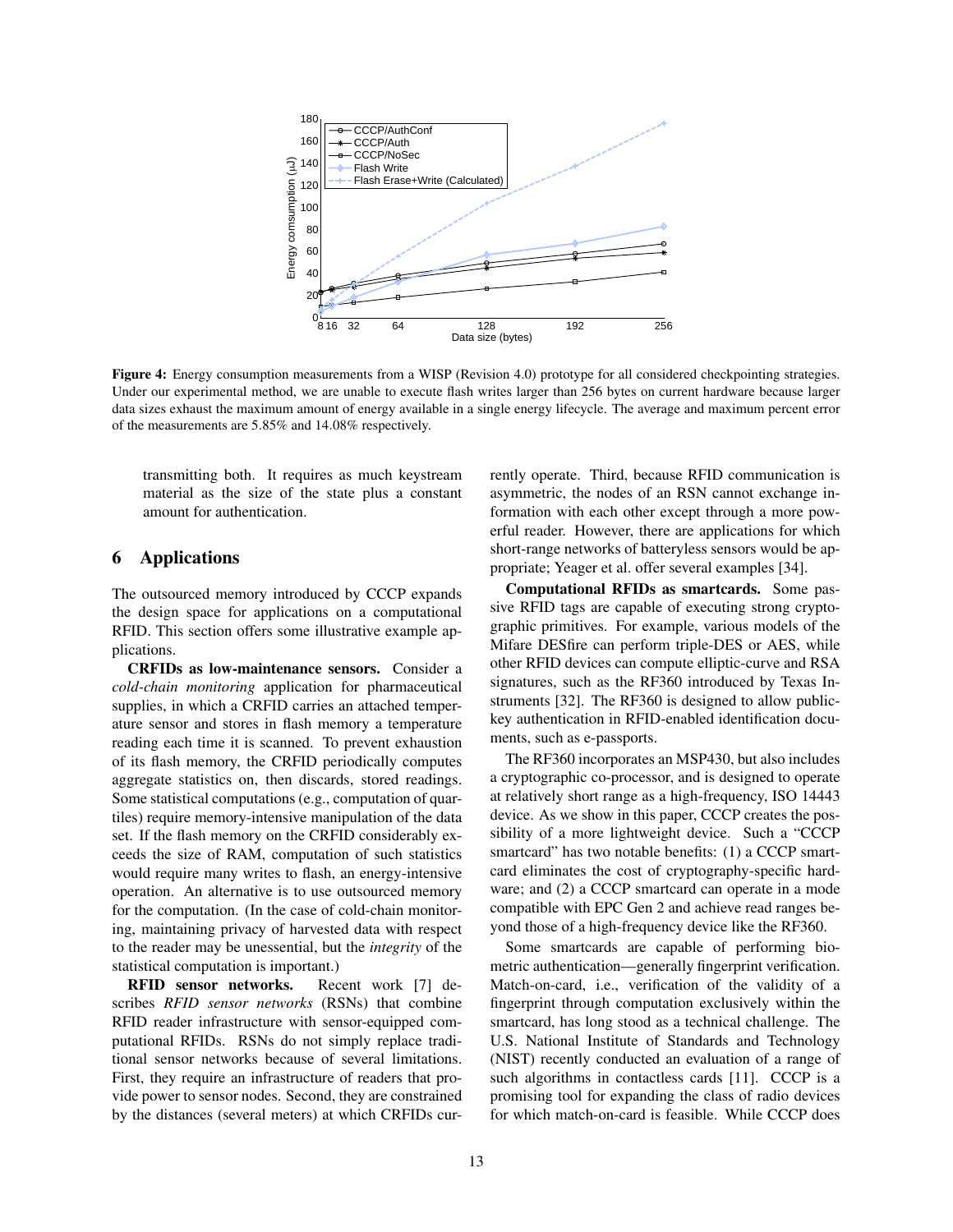

Figure 4: Energy consumption measurements from a WISP (Revision 4.0) prototype for all considered checkpointing strategies. Under our experimental method, we are unable to execute flash writes larger than 256 bytes on current hardware because larger data sizes exhaust the maximum amount of energy available in a single energy lifecycle. The average and maximum percent error of the measurements are 5.85% and 14.08% respectively.

transmitting both. It requires as much keystream material as the size of the state plus a constant amount for authentication.

### 6 Applications

The outsourced memory introduced by CCCP expands the design space for applications on a computational RFID. This section offers some illustrative example applications.

CRFIDs as low-maintenance sensors. Consider a *cold-chain monitoring* application for pharmaceutical supplies, in which a CRFID carries an attached temperature sensor and stores in flash memory a temperature reading each time it is scanned. To prevent exhaustion of its flash memory, the CRFID periodically computes aggregate statistics on, then discards, stored readings. Some statistical computations (e.g., computation of quartiles) require memory-intensive manipulation of the data set. If the flash memory on the CRFID considerably exceeds the size of RAM, computation of such statistics would require many writes to flash, an energy-intensive operation. An alternative is to use outsourced memory for the computation. (In the case of cold-chain monitoring, maintaining privacy of harvested data with respect to the reader may be unessential, but the *integrity* of the statistical computation is important.)

RFID sensor networks. Recent work [7] describes *RFID sensor networks* (RSNs) that combine RFID reader infrastructure with sensor-equipped computational RFIDs. RSNs do not simply replace traditional sensor networks because of several limitations. First, they require an infrastructure of readers that provide power to sensor nodes. Second, they are constrained by the distances (several meters) at which CRFIDs currently operate. Third, because RFID communication is asymmetric, the nodes of an RSN cannot exchange information with each other except through a more powerful reader. However, there are applications for which short-range networks of batteryless sensors would be appropriate; Yeager et al. offer several examples [34].

Computational RFIDs as smartcards. Some passive RFID tags are capable of executing strong cryptographic primitives. For example, various models of the Mifare DESfire can perform triple-DES or AES, while other RFID devices can compute elliptic-curve and RSA signatures, such as the RF360 introduced by Texas Instruments [32]. The RF360 is designed to allow publickey authentication in RFID-enabled identification documents, such as e-passports.

The RF360 incorporates an MSP430, but also includes a cryptographic co-processor, and is designed to operate at relatively short range as a high-frequency, ISO 14443 device. As we show in this paper, CCCP creates the possibility of a more lightweight device. Such a "CCCP smartcard" has two notable benefits: (1) a CCCP smartcard eliminates the cost of cryptography-specific hardware; and (2) a CCCP smartcard can operate in a mode compatible with EPC Gen 2 and achieve read ranges beyond those of a high-frequency device like the RF360.

Some smartcards are capable of performing biometric authentication—generally fingerprint verification. Match-on-card, i.e., verification of the validity of a fingerprint through computation exclusively within the smartcard, has long stood as a technical challenge. The U.S. National Institute of Standards and Technology (NIST) recently conducted an evaluation of a range of such algorithms in contactless cards [11]. CCCP is a promising tool for expanding the class of radio devices for which match-on-card is feasible. While CCCP does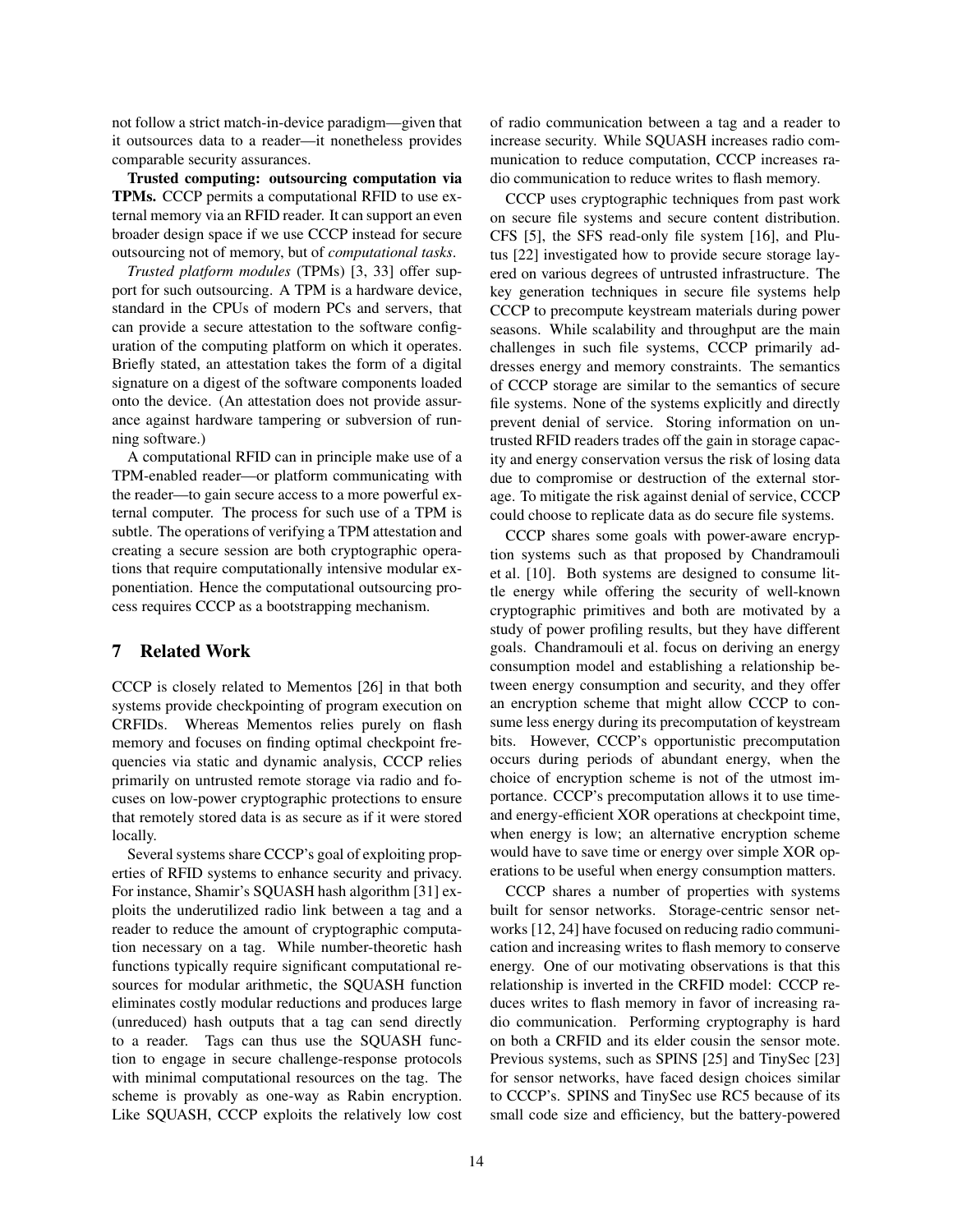not follow a strict match-in-device paradigm—given that it outsources data to a reader—it nonetheless provides comparable security assurances.

Trusted computing: outsourcing computation via TPMs. CCCP permits a computational RFID to use external memory via an RFID reader. It can support an even broader design space if we use CCCP instead for secure outsourcing not of memory, but of *computational tasks*.

*Trusted platform modules* (TPMs) [3, 33] offer support for such outsourcing. A TPM is a hardware device, standard in the CPUs of modern PCs and servers, that can provide a secure attestation to the software configuration of the computing platform on which it operates. Briefly stated, an attestation takes the form of a digital signature on a digest of the software components loaded onto the device. (An attestation does not provide assurance against hardware tampering or subversion of running software.)

A computational RFID can in principle make use of a TPM-enabled reader—or platform communicating with the reader—to gain secure access to a more powerful external computer. The process for such use of a TPM is subtle. The operations of verifying a TPM attestation and creating a secure session are both cryptographic operations that require computationally intensive modular exponentiation. Hence the computational outsourcing process requires CCCP as a bootstrapping mechanism.

### 7 Related Work

CCCP is closely related to Mementos [26] in that both systems provide checkpointing of program execution on CRFIDs. Whereas Mementos relies purely on flash memory and focuses on finding optimal checkpoint frequencies via static and dynamic analysis, CCCP relies primarily on untrusted remote storage via radio and focuses on low-power cryptographic protections to ensure that remotely stored data is as secure as if it were stored locally.

Several systems share CCCP's goal of exploiting properties of RFID systems to enhance security and privacy. For instance, Shamir's SQUASH hash algorithm [31] exploits the underutilized radio link between a tag and a reader to reduce the amount of cryptographic computation necessary on a tag. While number-theoretic hash functions typically require significant computational resources for modular arithmetic, the SQUASH function eliminates costly modular reductions and produces large (unreduced) hash outputs that a tag can send directly to a reader. Tags can thus use the SQUASH function to engage in secure challenge-response protocols with minimal computational resources on the tag. The scheme is provably as one-way as Rabin encryption. Like SQUASH, CCCP exploits the relatively low cost of radio communication between a tag and a reader to increase security. While SQUASH increases radio communication to reduce computation, CCCP increases radio communication to reduce writes to flash memory.

CCCP uses cryptographic techniques from past work on secure file systems and secure content distribution. CFS [5], the SFS read-only file system [16], and Plutus [22] investigated how to provide secure storage layered on various degrees of untrusted infrastructure. The key generation techniques in secure file systems help CCCP to precompute keystream materials during power seasons. While scalability and throughput are the main challenges in such file systems, CCCP primarily addresses energy and memory constraints. The semantics of CCCP storage are similar to the semantics of secure file systems. None of the systems explicitly and directly prevent denial of service. Storing information on untrusted RFID readers trades off the gain in storage capacity and energy conservation versus the risk of losing data due to compromise or destruction of the external storage. To mitigate the risk against denial of service, CCCP could choose to replicate data as do secure file systems.

CCCP shares some goals with power-aware encryption systems such as that proposed by Chandramouli et al. [10]. Both systems are designed to consume little energy while offering the security of well-known cryptographic primitives and both are motivated by a study of power profiling results, but they have different goals. Chandramouli et al. focus on deriving an energy consumption model and establishing a relationship between energy consumption and security, and they offer an encryption scheme that might allow CCCP to consume less energy during its precomputation of keystream bits. However, CCCP's opportunistic precomputation occurs during periods of abundant energy, when the choice of encryption scheme is not of the utmost importance. CCCP's precomputation allows it to use timeand energy-efficient XOR operations at checkpoint time, when energy is low; an alternative encryption scheme would have to save time or energy over simple XOR operations to be useful when energy consumption matters.

CCCP shares a number of properties with systems built for sensor networks. Storage-centric sensor networks [12, 24] have focused on reducing radio communication and increasing writes to flash memory to conserve energy. One of our motivating observations is that this relationship is inverted in the CRFID model: CCCP reduces writes to flash memory in favor of increasing radio communication. Performing cryptography is hard on both a CRFID and its elder cousin the sensor mote. Previous systems, such as SPINS [25] and TinySec [23] for sensor networks, have faced design choices similar to CCCP's. SPINS and TinySec use RC5 because of its small code size and efficiency, but the battery-powered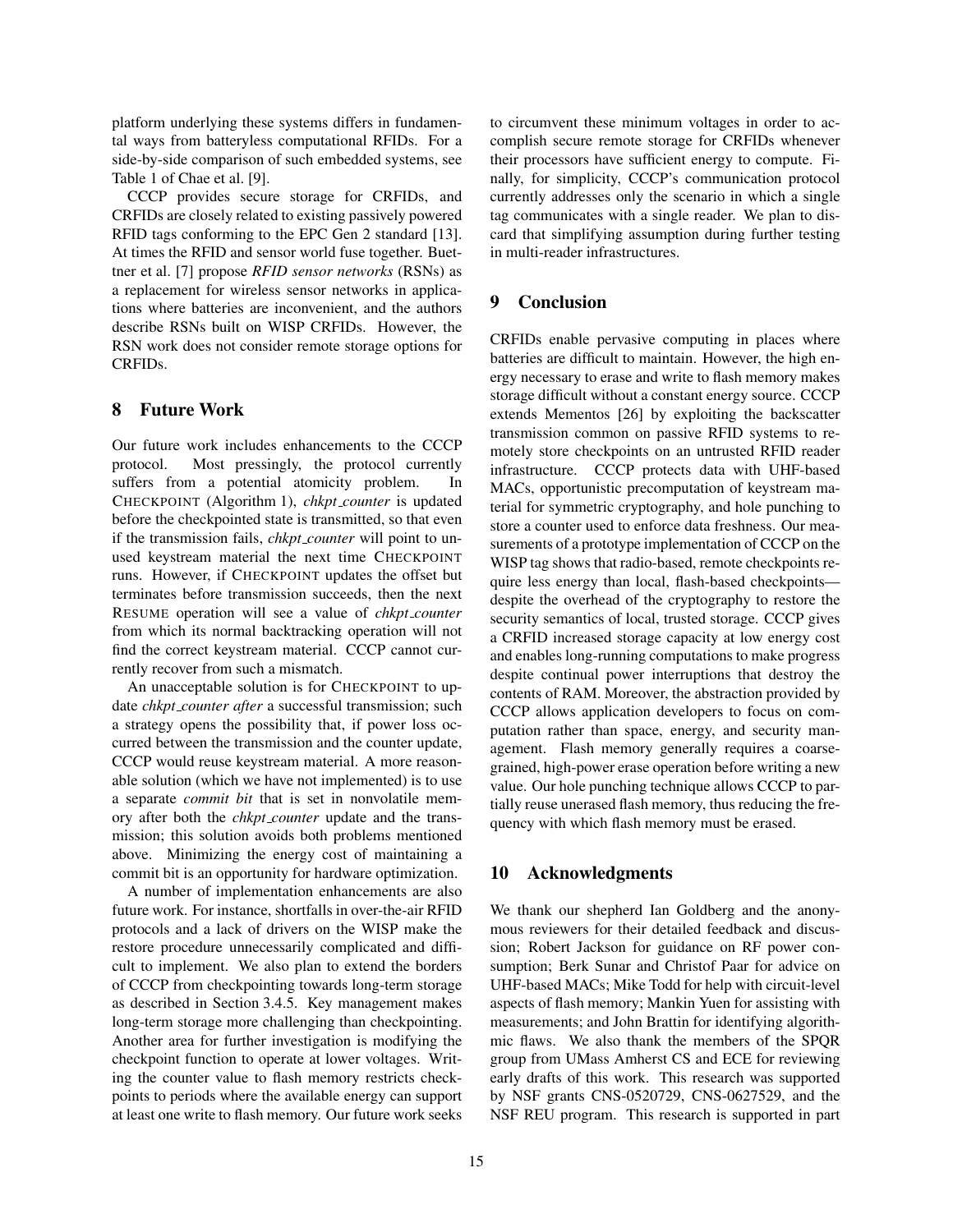platform underlying these systems differs in fundamental ways from batteryless computational RFIDs. For a side-by-side comparison of such embedded systems, see Table 1 of Chae et al. [9].

CCCP provides secure storage for CRFIDs, and CRFIDs are closely related to existing passively powered RFID tags conforming to the EPC Gen 2 standard [13]. At times the RFID and sensor world fuse together. Buettner et al. [7] propose *RFID sensor networks* (RSNs) as a replacement for wireless sensor networks in applications where batteries are inconvenient, and the authors describe RSNs built on WISP CRFIDs. However, the RSN work does not consider remote storage options for CRFIDs.

### 8 Future Work

Our future work includes enhancements to the CCCP protocol. Most pressingly, the protocol currently suffers from a potential atomicity problem. In CHECKPOINT (Algorithm 1), *chkpt counter* is updated before the checkpointed state is transmitted, so that even if the transmission fails, *chkpt counter* will point to unused keystream material the next time CHECKPOINT runs. However, if CHECKPOINT updates the offset but terminates before transmission succeeds, then the next RESUME operation will see a value of *chkpt counter* from which its normal backtracking operation will not find the correct keystream material. CCCP cannot currently recover from such a mismatch.

An unacceptable solution is for CHECKPOINT to update *chkpt counter after* a successful transmission; such a strategy opens the possibility that, if power loss occurred between the transmission and the counter update, CCCP would reuse keystream material. A more reasonable solution (which we have not implemented) is to use a separate *commit bit* that is set in nonvolatile memory after both the *chkpt counter* update and the transmission; this solution avoids both problems mentioned above. Minimizing the energy cost of maintaining a commit bit is an opportunity for hardware optimization.

A number of implementation enhancements are also future work. For instance, shortfalls in over-the-air RFID protocols and a lack of drivers on the WISP make the restore procedure unnecessarily complicated and difficult to implement. We also plan to extend the borders of CCCP from checkpointing towards long-term storage as described in Section 3.4.5. Key management makes long-term storage more challenging than checkpointing. Another area for further investigation is modifying the checkpoint function to operate at lower voltages. Writing the counter value to flash memory restricts checkpoints to periods where the available energy can support at least one write to flash memory. Our future work seeks to circumvent these minimum voltages in order to accomplish secure remote storage for CRFIDs whenever their processors have sufficient energy to compute. Finally, for simplicity, CCCP's communication protocol currently addresses only the scenario in which a single tag communicates with a single reader. We plan to discard that simplifying assumption during further testing in multi-reader infrastructures.

## 9 Conclusion

CRFIDs enable pervasive computing in places where batteries are difficult to maintain. However, the high energy necessary to erase and write to flash memory makes storage difficult without a constant energy source. CCCP extends Mementos [26] by exploiting the backscatter transmission common on passive RFID systems to remotely store checkpoints on an untrusted RFID reader infrastructure. CCCP protects data with UHF-based MACs, opportunistic precomputation of keystream material for symmetric cryptography, and hole punching to store a counter used to enforce data freshness. Our measurements of a prototype implementation of CCCP on the WISP tag shows that radio-based, remote checkpoints require less energy than local, flash-based checkpoints despite the overhead of the cryptography to restore the security semantics of local, trusted storage. CCCP gives a CRFID increased storage capacity at low energy cost and enables long-running computations to make progress despite continual power interruptions that destroy the contents of RAM. Moreover, the abstraction provided by CCCP allows application developers to focus on computation rather than space, energy, and security management. Flash memory generally requires a coarsegrained, high-power erase operation before writing a new value. Our hole punching technique allows CCCP to partially reuse unerased flash memory, thus reducing the frequency with which flash memory must be erased.

#### 10 Acknowledgments

We thank our shepherd Ian Goldberg and the anonymous reviewers for their detailed feedback and discussion; Robert Jackson for guidance on RF power consumption; Berk Sunar and Christof Paar for advice on UHF-based MACs; Mike Todd for help with circuit-level aspects of flash memory; Mankin Yuen for assisting with measurements; and John Brattin for identifying algorithmic flaws. We also thank the members of the SPQR group from UMass Amherst CS and ECE for reviewing early drafts of this work. This research was supported by NSF grants CNS-0520729, CNS-0627529, and the NSF REU program. This research is supported in part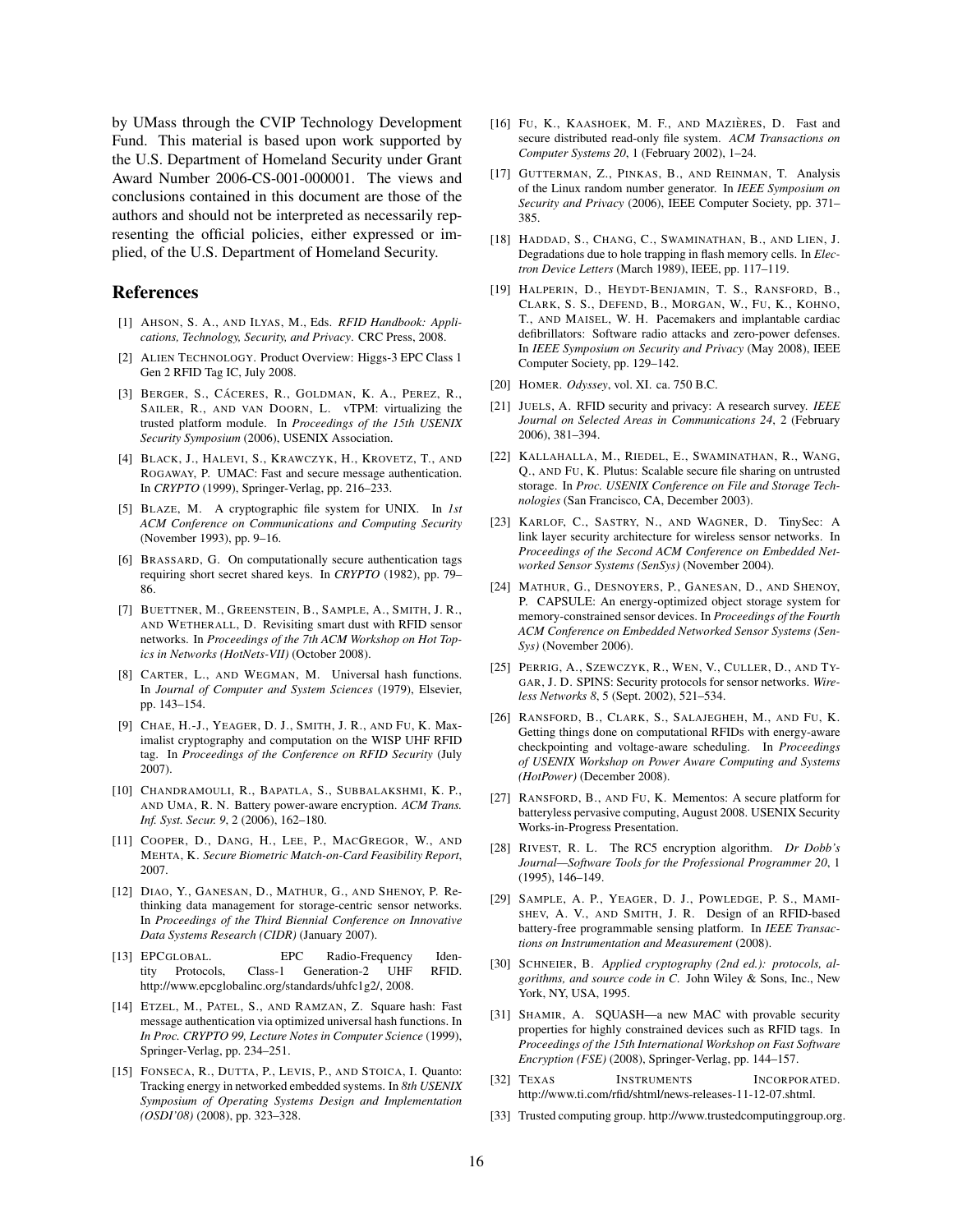by UMass through the CVIP Technology Development Fund. This material is based upon work supported by the U.S. Department of Homeland Security under Grant Award Number 2006-CS-001-000001. The views and conclusions contained in this document are those of the authors and should not be interpreted as necessarily representing the official policies, either expressed or implied, of the U.S. Department of Homeland Security.

#### References

- [1] AHSON, S. A., AND ILYAS, M., Eds. *RFID Handbook: Applications, Technology, Security, and Privacy*. CRC Press, 2008.
- [2] ALIEN TECHNOLOGY. Product Overview: Higgs-3 EPC Class 1 Gen 2 RFID Tag IC, July 2008.
- [3] BERGER, S., CÁCERES, R., GOLDMAN, K. A., PEREZ, R., SAILER, R., AND VAN DOORN, L. vTPM: virtualizing the trusted platform module. In *Proceedings of the 15th USENIX Security Symposium* (2006), USENIX Association.
- [4] BLACK, J., HALEVI, S., KRAWCZYK, H., KROVETZ, T., AND ROGAWAY, P. UMAC: Fast and secure message authentication. In *CRYPTO* (1999), Springer-Verlag, pp. 216–233.
- [5] BLAZE, M. A cryptographic file system for UNIX. In *1st ACM Conference on Communications and Computing Security* (November 1993), pp. 9–16.
- [6] BRASSARD, G. On computationally secure authentication tags requiring short secret shared keys. In *CRYPTO* (1982), pp. 79– 86.
- [7] BUETTNER, M., GREENSTEIN, B., SAMPLE, A., SMITH, J. R., AND WETHERALL, D. Revisiting smart dust with RFID sensor networks. In *Proceedings of the 7th ACM Workshop on Hot Topics in Networks (HotNets-VII)* (October 2008).
- [8] CARTER, L., AND WEGMAN, M. Universal hash functions. In *Journal of Computer and System Sciences* (1979), Elsevier, pp. 143–154.
- [9] CHAE, H.-J., YEAGER, D. J., SMITH, J. R., AND FU, K. Maximalist cryptography and computation on the WISP UHF RFID tag. In *Proceedings of the Conference on RFID Security* (July 2007).
- [10] CHANDRAMOULI, R., BAPATLA, S., SUBBALAKSHMI, K. P., AND UMA, R. N. Battery power-aware encryption. *ACM Trans. Inf. Syst. Secur. 9*, 2 (2006), 162–180.
- [11] COOPER, D., DANG, H., LEE, P., MACGREGOR, W., AND MEHTA, K. *Secure Biometric Match-on-Card Feasibility Report*, 2007.
- [12] DIAO, Y., GANESAN, D., MATHUR, G., AND SHENOY, P. Rethinking data management for storage-centric sensor networks. In *Proceedings of the Third Biennial Conference on Innovative Data Systems Research (CIDR)* (January 2007).
- [13] EPCGLOBAL. EPC Radio-Frequency Identity Protocols, Class-1 Generation-2 UHF RFID. http://www.epcglobalinc.org/standards/uhfc1g2/, 2008.
- [14] ETZEL, M., PATEL, S., AND RAMZAN, Z. Square hash: Fast message authentication via optimized universal hash functions. In *In Proc. CRYPTO 99, Lecture Notes in Computer Science* (1999), Springer-Verlag, pp. 234–251.
- [15] FONSECA, R., DUTTA, P., LEVIS, P., AND STOICA, I. Quanto: Tracking energy in networked embedded systems. In *8th USENIX Symposium of Operating Systems Design and Implementation (OSDI'08)* (2008), pp. 323–328.
- [16] FU, K., KAASHOEK, M. F., AND MAZIÈRES, D. Fast and secure distributed read-only file system. *ACM Transactions on Computer Systems 20*, 1 (February 2002), 1–24.
- [17] GUTTERMAN, Z., PINKAS, B., AND REINMAN, T. Analysis of the Linux random number generator. In *IEEE Symposium on Security and Privacy* (2006), IEEE Computer Society, pp. 371– 385.
- [18] HADDAD, S., CHANG, C., SWAMINATHAN, B., AND LIEN, J. Degradations due to hole trapping in flash memory cells. In *Electron Device Letters* (March 1989), IEEE, pp. 117–119.
- [19] HALPERIN, D., HEYDT-BENJAMIN, T. S., RANSFORD, B., CLARK, S. S., DEFEND, B., MORGAN, W., FU, K., KOHNO, T., AND MAISEL, W. H. Pacemakers and implantable cardiac defibrillators: Software radio attacks and zero-power defenses. In *IEEE Symposium on Security and Privacy* (May 2008), IEEE Computer Society, pp. 129–142.
- [20] HOMER. *Odyssey*, vol. XI. ca. 750 B.C.
- [21] JUELS, A. RFID security and privacy: A research survey. *IEEE Journal on Selected Areas in Communications 24*, 2 (February 2006), 381–394.
- [22] KALLAHALLA, M., RIEDEL, E., SWAMINATHAN, R., WANG, Q., AND FU, K. Plutus: Scalable secure file sharing on untrusted storage. In *Proc. USENIX Conference on File and Storage Technologies* (San Francisco, CA, December 2003).
- [23] KARLOF, C., SASTRY, N., AND WAGNER, D. TinySec: A link layer security architecture for wireless sensor networks. In *Proceedings of the Second ACM Conference on Embedded Networked Sensor Systems (SenSys)* (November 2004).
- [24] MATHUR, G., DESNOYERS, P., GANESAN, D., AND SHENOY, P. CAPSULE: An energy-optimized object storage system for memory-constrained sensor devices. In *Proceedings of the Fourth ACM Conference on Embedded Networked Sensor Systems (Sen-Sys)* (November 2006).
- [25] PERRIG, A., SZEWCZYK, R., WEN, V., CULLER, D., AND TY-GAR, J. D. SPINS: Security protocols for sensor networks. *Wireless Networks 8*, 5 (Sept. 2002), 521–534.
- [26] RANSFORD, B., CLARK, S., SALAJEGHEH, M., AND FU, K. Getting things done on computational RFIDs with energy-aware checkpointing and voltage-aware scheduling. In *Proceedings of USENIX Workshop on Power Aware Computing and Systems (HotPower)* (December 2008).
- [27] RANSFORD, B., AND FU, K. Mementos: A secure platform for batteryless pervasive computing, August 2008. USENIX Security Works-in-Progress Presentation.
- [28] RIVEST, R. L. The RC5 encryption algorithm. *Dr Dobb's Journal—Software Tools for the Professional Programmer 20*, 1 (1995), 146–149.
- [29] SAMPLE, A. P., YEAGER, D. J., POWLEDGE, P. S., MAMI-SHEV, A. V., AND SMITH, J. R. Design of an RFID-based battery-free programmable sensing platform. In *IEEE Transactions on Instrumentation and Measurement* (2008).
- [30] SCHNEIER, B. *Applied cryptography (2nd ed.): protocols, algorithms, and source code in C*. John Wiley & Sons, Inc., New York, NY, USA, 1995.
- [31] SHAMIR, A. SOUASH—a new MAC with provable security properties for highly constrained devices such as RFID tags. In *Proceedings of the 15th International Workshop on Fast Software Encryption (FSE)* (2008), Springer-Verlag, pp. 144–157.
- [32] TEXAS INSTRUMENTS INCORPORATED. http://www.ti.com/rfid/shtml/news-releases-11-12-07.shtml.
- [33] Trusted computing group. http://www.trustedcomputinggroup.org.